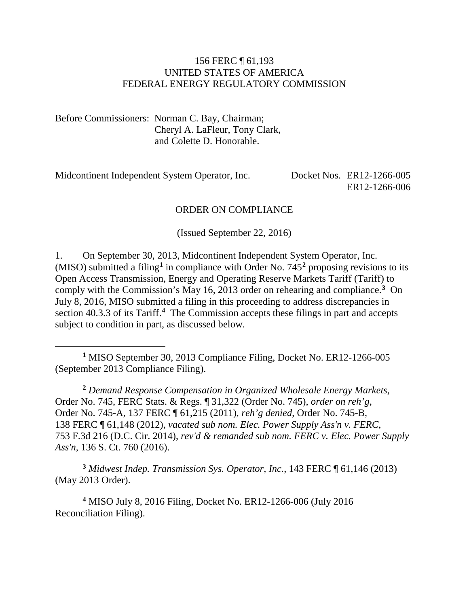#### 156 FERC ¶ 61,193 UNITED STATES OF AMERICA FEDERAL ENERGY REGULATORY COMMISSION

Before Commissioners: Norman C. Bay, Chairman; Cheryl A. LaFleur, Tony Clark, and Colette D. Honorable.

 $\overline{a}$ 

Midcontinent Independent System Operator, Inc. Docket Nos. ER12-1266-005 ER12-1266-006

#### ORDER ON COMPLIANCE

(Issued September 22, 2016)

1. On September 30, 2013, Midcontinent Independent System Operator, Inc. (MISO) submitted a filing**[1](#page-0-0)** in compliance with Order No. 745**[2](#page-0-1)** proposing revisions to its Open Access Transmission, Energy and Operating Reserve Markets Tariff (Tariff) to comply with the Commission's May 16, 2013 order on rehearing and compliance.**[3](#page-0-2)** On July 8, 2016, MISO submitted a filing in this proceeding to address discrepancies in section 40.3.3 of its Tariff.**[4](#page-0-3)** The Commission accepts these filings in part and accepts subject to condition in part, as discussed below.

<span id="page-0-0"></span>**<sup>1</sup>** MISO September 30, 2013 Compliance Filing, Docket No. ER12-1266-005 (September 2013 Compliance Filing).

<span id="page-0-1"></span>**<sup>2</sup>** *Demand Response Compensation in Organized Wholesale Energy Markets*, Order No. 745, FERC Stats. & Regs. ¶ 31,322 (Order No. 745), *order on reh'g*, Order No. 745-A, 137 FERC ¶ 61,215 (2011), *reh'g denied*, Order No. 745-B, 138 FERC ¶ 61,148 (2012), *vacated sub nom. Elec. Power Supply Ass'n v. FERC*, 753 F.3d 216 (D.C. Cir. 2014), *rev'd & remanded sub nom. FERC v. Elec. Power Supply Ass'n*, 136 S. Ct. 760 (2016).

<span id="page-0-2"></span>**<sup>3</sup>** *Midwest Indep. Transmission Sys. Operator, Inc.*, 143 FERC ¶ 61,146 (2013) (May 2013 Order).

<span id="page-0-3"></span>**<sup>4</sup>** MISO July 8, 2016 Filing, Docket No. ER12-1266-006 (July 2016 Reconciliation Filing).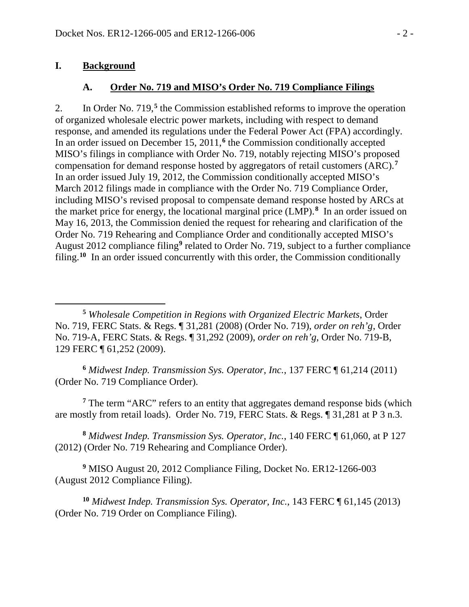#### **I. Background**

 $\overline{a}$ 

#### **A. Order No. 719 and MISO's Order No. 719 Compliance Filings**

2. In Order No. 719,**[5](#page-1-0)** the Commission established reforms to improve the operation of organized wholesale electric power markets, including with respect to demand response, and amended its regulations under the Federal Power Act (FPA) accordingly. In an order issued on December 15, 2011,**[6](#page-1-1)** the Commission conditionally accepted MISO's filings in compliance with Order No. 719, notably rejecting MISO's proposed compensation for demand response hosted by aggregators of retail customers (ARC).**[7](#page-1-2)** In an order issued July 19, 2012, the Commission conditionally accepted MISO's March 2012 filings made in compliance with the Order No. 719 Compliance Order, including MISO's revised proposal to compensate demand response hosted by ARCs at the market price for energy, the locational marginal price (LMP).**[8](#page-1-3)** In an order issued on May 16, 2013, the Commission denied the request for rehearing and clarification of the Order No. 719 Rehearing and Compliance Order and conditionally accepted MISO's August 2012 compliance filing**[9](#page-1-4)** related to Order No. 719, subject to a further compliance filing. **[10](#page-1-5)** In an order issued concurrently with this order, the Commission conditionally

<span id="page-1-0"></span>**<sup>5</sup>** *Wholesale Competition in Regions with Organized Electric Markets*, Order No. 719, FERC Stats. & Regs. ¶ 31,281 (2008) (Order No. 719), *order on reh'g*, Order No. 719-A, FERC Stats. & Regs. ¶ 31,292 (2009), *order on reh'g*, Order No. 719-B, 129 FERC ¶ 61,252 (2009).

<span id="page-1-1"></span>**<sup>6</sup>** *Midwest Indep. Transmission Sys. Operator, Inc.*, 137 FERC ¶ 61,214 (2011) (Order No. 719 Compliance Order).

<span id="page-1-2"></span>**<sup>7</sup>** The term "ARC" refers to an entity that aggregates demand response bids (which are mostly from retail loads). Order No. 719, FERC Stats. & Regs. ¶ 31,281 at P 3 n.3.

<span id="page-1-3"></span>**<sup>8</sup>** *Midwest Indep. Transmission Sys. Operator, Inc.*, 140 FERC ¶ 61,060, at P 127 (2012) (Order No. 719 Rehearing and Compliance Order).

<span id="page-1-4"></span>**<sup>9</sup>** MISO August 20, 2012 Compliance Filing, Docket No. ER12-1266-003 (August 2012 Compliance Filing).

<span id="page-1-5"></span>**<sup>10</sup>** *Midwest Indep. Transmission Sys. Operator, Inc.*, 143 FERC ¶ 61,145 (2013) (Order No. 719 Order on Compliance Filing).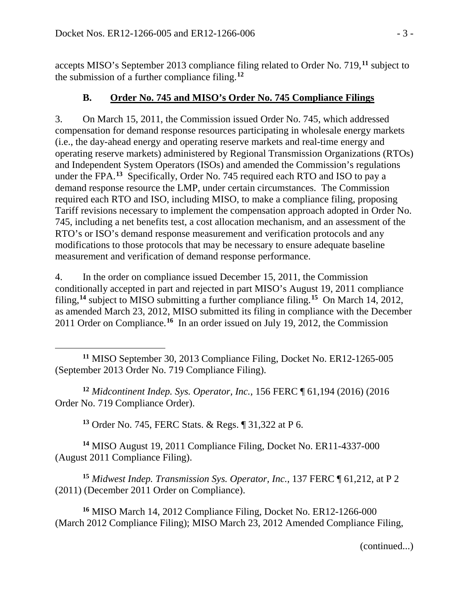accepts MISO's September 2013 compliance filing related to Order No. 719,**[11](#page-2-0)** subject to the submission of a further compliance filing.**[12](#page-2-1)**

## **B. Order No. 745 and MISO's Order No. 745 Compliance Filings**

3. On March 15, 2011, the Commission issued Order No. 745, which addressed compensation for demand response resources participating in wholesale energy markets (i.e., the day-ahead energy and operating reserve markets and real-time energy and operating reserve markets) administered by Regional Transmission Organizations (RTOs) and Independent System Operators (ISOs) and amended the Commission's regulations under the FPA.**[13](#page-2-2)** Specifically, Order No. 745 required each RTO and ISO to pay a demand response resource the LMP, under certain circumstances. The Commission required each RTO and ISO, including MISO, to make a compliance filing, proposing Tariff revisions necessary to implement the compensation approach adopted in Order No. 745, including a net benefits test, a cost allocation mechanism, and an assessment of the RTO's or ISO's demand response measurement and verification protocols and any modifications to those protocols that may be necessary to ensure adequate baseline measurement and verification of demand response performance.

4. In the order on compliance issued December 15, 2011, the Commission conditionally accepted in part and rejected in part MISO's August 19, 2011 compliance filing,**[14](#page-2-3)** subject to MISO submitting a further compliance filing.**[15](#page-2-4)** On March 14, 2012, as amended March 23, 2012, MISO submitted its filing in compliance with the December 2011 Order on Compliance.**[16](#page-2-5)** In an order issued on July 19, 2012, the Commission

<span id="page-2-0"></span> $\overline{a}$ **<sup>11</sup>** MISO September 30, 2013 Compliance Filing, Docket No. ER12-1265-005 (September 2013 Order No. 719 Compliance Filing).

<span id="page-2-1"></span>**<sup>12</sup>** *Midcontinent Indep. Sys. Operator, Inc.*, 156 FERC ¶ 61,194 (2016) (2016 Order No. 719 Compliance Order).

**<sup>13</sup>** Order No. 745, FERC Stats. & Regs. ¶ 31,322 at P 6.

<span id="page-2-3"></span><span id="page-2-2"></span>**<sup>14</sup>** MISO August 19, 2011 Compliance Filing, Docket No. ER11-4337-000 (August 2011 Compliance Filing).

<span id="page-2-4"></span>**<sup>15</sup>** *Midwest Indep. Transmission Sys. Operator, Inc.*, 137 FERC ¶ 61,212, at P 2 (2011) (December 2011 Order on Compliance).

<span id="page-2-5"></span>**<sup>16</sup>** MISO March 14, 2012 Compliance Filing, Docket No. ER12-1266-000 (March 2012 Compliance Filing); MISO March 23, 2012 Amended Compliance Filing,

(continued...)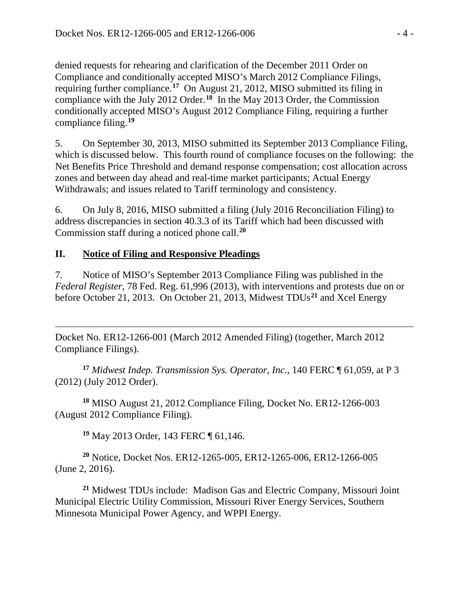denied requests for rehearing and clarification of the December 2011 Order on Compliance and conditionally accepted MISO's March 2012 Compliance Filings, requiring further compliance.**[17](#page-3-0)** On August 21, 2012, MISO submitted its filing in compliance with the July 2012 Order.**[18](#page-3-1)** In the May 2013 Order, the Commission conditionally accepted MISO's August 2012 Compliance Filing, requiring a further compliance filing.**[19](#page-3-2)**

5. On September 30, 2013, MISO submitted its September 2013 Compliance Filing, which is discussed below. This fourth round of compliance focuses on the following: the Net Benefits Price Threshold and demand response compensation; cost allocation across zones and between day ahead and real-time market participants; Actual Energy Withdrawals; and issues related to Tariff terminology and consistency.

6. On July 8, 2016, MISO submitted a filing (July 2016 Reconciliation Filing) to address discrepancies in section 40.3.3 of its Tariff which had been discussed with Commission staff during a noticed phone call. **[20](#page-3-3)**

### **II. Notice of Filing and Responsive Pleadings**

7. Notice of MISO's September 2013 Compliance Filing was published in the *Federal Register*, 78 Fed. Reg. 61,996 (2013), with interventions and protests due on or before October 21, 2013. On October 21, 2013, Midwest TDUs**[21](#page-3-4)** and Xcel Energy

 $\overline{a}$ Docket No. ER12-1266-001 (March 2012 Amended Filing) (together, March 2012 Compliance Filings).

<span id="page-3-0"></span>**<sup>17</sup>** *Midwest Indep. Transmission Sys. Operator, Inc.*, 140 FERC ¶ 61,059, at P 3 (2012) (July 2012 Order).

<span id="page-3-1"></span>**<sup>18</sup>** MISO August 21, 2012 Compliance Filing, Docket No. ER12-1266-003 (August 2012 Compliance Filing).

**<sup>19</sup>** May 2013 Order, 143 FERC ¶ 61,146.

<span id="page-3-3"></span><span id="page-3-2"></span>**<sup>20</sup>** Notice, Docket Nos. ER12-1265-005, ER12-1265-006, ER12-1266-005 (June 2, 2016).

<span id="page-3-4"></span>**<sup>21</sup>** Midwest TDUs include: Madison Gas and Electric Company, Missouri Joint Municipal Electric Utility Commission, Missouri River Energy Services, Southern Minnesota Municipal Power Agency, and WPPI Energy.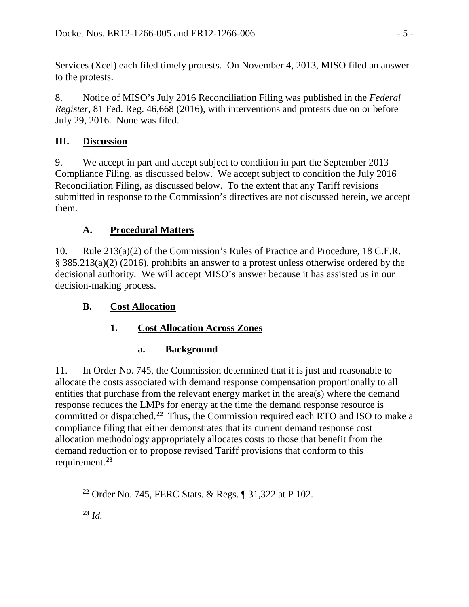Services (Xcel) each filed timely protests. On November 4, 2013, MISO filed an answer to the protests.

8. Notice of MISO's July 2016 Reconciliation Filing was published in the *Federal Register*, 81 Fed. Reg. 46,668 (2016), with interventions and protests due on or before July 29, 2016. None was filed.

## **III. Discussion**

9. We accept in part and accept subject to condition in part the September 2013 Compliance Filing, as discussed below. We accept subject to condition the July 2016 Reconciliation Filing, as discussed below. To the extent that any Tariff revisions submitted in response to the Commission's directives are not discussed herein, we accept them.

# **A. Procedural Matters**

10. Rule 213(a)(2) of the Commission's Rules of Practice and Procedure, 18 C.F.R. § 385.213(a)(2) (2016), prohibits an answer to a protest unless otherwise ordered by the decisional authority. We will accept MISO's answer because it has assisted us in our decision-making process.

# **B. Cost Allocation**

# **1. Cost Allocation Across Zones**

# **a. Background**

11. In Order No. 745, the Commission determined that it is just and reasonable to allocate the costs associated with demand response compensation proportionally to all entities that purchase from the relevant energy market in the area(s) where the demand response reduces the LMPs for energy at the time the demand response resource is committed or dispatched.**[22](#page-4-0)** Thus, the Commission required each RTO and ISO to make a compliance filing that either demonstrates that its current demand response cost allocation methodology appropriately allocates costs to those that benefit from the demand reduction or to propose revised Tariff provisions that conform to this requirement.**[23](#page-4-1)**

<span id="page-4-1"></span><span id="page-4-0"></span>**<sup>22</sup>** Order No. 745, FERC Stats. & Regs. ¶ 31,322 at P 102.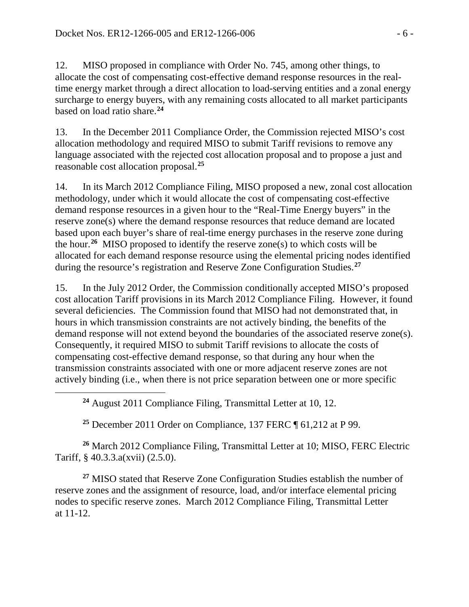12. MISO proposed in compliance with Order No. 745, among other things, to allocate the cost of compensating cost-effective demand response resources in the realtime energy market through a direct allocation to load-serving entities and a zonal energy surcharge to energy buyers, with any remaining costs allocated to all market participants based on load ratio share.**[24](#page-5-0)**

13. In the December 2011 Compliance Order, the Commission rejected MISO's cost allocation methodology and required MISO to submit Tariff revisions to remove any language associated with the rejected cost allocation proposal and to propose a just and reasonable cost allocation proposal.**[25](#page-5-1)**

14. In its March 2012 Compliance Filing, MISO proposed a new, zonal cost allocation methodology, under which it would allocate the cost of compensating cost-effective demand response resources in a given hour to the "Real-Time Energy buyers" in the reserve zone(s) where the demand response resources that reduce demand are located based upon each buyer's share of real-time energy purchases in the reserve zone during the hour.**[26](#page-5-2)** MISO proposed to identify the reserve zone(s) to which costs will be allocated for each demand response resource using the elemental pricing nodes identified during the resource's registration and Reserve Zone Configuration Studies.**[27](#page-5-3)**

15. In the July 2012 Order, the Commission conditionally accepted MISO's proposed cost allocation Tariff provisions in its March 2012 Compliance Filing. However, it found several deficiencies. The Commission found that MISO had not demonstrated that, in hours in which transmission constraints are not actively binding, the benefits of the demand response will not extend beyond the boundaries of the associated reserve zone(s). Consequently, it required MISO to submit Tariff revisions to allocate the costs of compensating cost-effective demand response, so that during any hour when the transmission constraints associated with one or more adjacent reserve zones are not actively binding (i.e., when there is not price separation between one or more specific

**<sup>24</sup>** August 2011 Compliance Filing, Transmittal Letter at 10, 12.

<span id="page-5-0"></span> $\overline{a}$ 

**<sup>25</sup>** December 2011 Order on Compliance, 137 FERC ¶ 61,212 at P 99.

<span id="page-5-2"></span><span id="page-5-1"></span>**<sup>26</sup>** March 2012 Compliance Filing, Transmittal Letter at 10; MISO, FERC Electric Tariff, § 40.3.3.a(xvii) (2.5.0).

<span id="page-5-3"></span>**<sup>27</sup>** MISO stated that Reserve Zone Configuration Studies establish the number of reserve zones and the assignment of resource, load, and/or interface elemental pricing nodes to specific reserve zones. March 2012 Compliance Filing, Transmittal Letter at 11-12.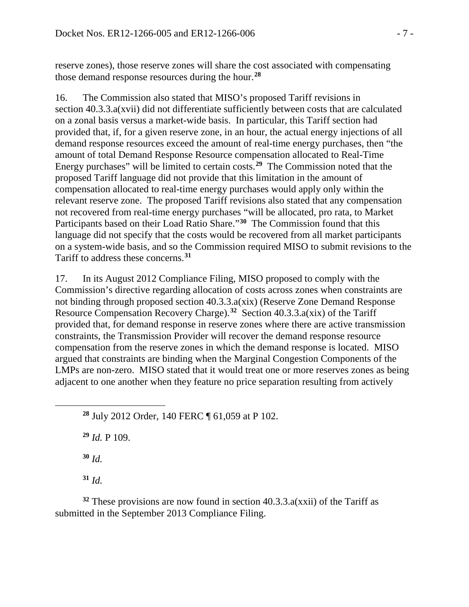reserve zones), those reserve zones will share the cost associated with compensating those demand response resources during the hour.**[28](#page-6-0)**

16. The Commission also stated that MISO's proposed Tariff revisions in section 40.3.3.a(xvii) did not differentiate sufficiently between costs that are calculated on a zonal basis versus a market-wide basis. In particular, this Tariff section had provided that, if, for a given reserve zone, in an hour, the actual energy injections of all demand response resources exceed the amount of real-time energy purchases, then "the amount of total Demand Response Resource compensation allocated to Real-Time Energy purchases" will be limited to certain costs.**[29](#page-6-1)** The Commission noted that the proposed Tariff language did not provide that this limitation in the amount of compensation allocated to real-time energy purchases would apply only within the relevant reserve zone. The proposed Tariff revisions also stated that any compensation not recovered from real-time energy purchases "will be allocated, pro rata, to Market Participants based on their Load Ratio Share."**[30](#page-6-2)** The Commission found that this language did not specify that the costs would be recovered from all market participants on a system-wide basis, and so the Commission required MISO to submit revisions to the Tariff to address these concerns.**[31](#page-6-3)**

17. In its August 2012 Compliance Filing, MISO proposed to comply with the Commission's directive regarding allocation of costs across zones when constraints are not binding through proposed section 40.3.3.a(xix) (Reserve Zone Demand Response Resource Compensation Recovery Charge).**[32](#page-6-4)** Section 40.3.3.a(xix) of the Tariff provided that, for demand response in reserve zones where there are active transmission constraints, the Transmission Provider will recover the demand response resource compensation from the reserve zones in which the demand response is located. MISO argued that constraints are binding when the Marginal Congestion Components of the LMPs are non-zero. MISO stated that it would treat one or more reserves zones as being adjacent to one another when they feature no price separation resulting from actively

**<sup>28</sup>** July 2012 Order, 140 FERC ¶ 61,059 at P 102. **<sup>29</sup>** *Id.* P 109. **<sup>30</sup>** *Id.*  $31 \, \text{Id}$ 

<span id="page-6-1"></span><span id="page-6-0"></span> $\overline{a}$ 

<span id="page-6-4"></span><span id="page-6-3"></span><span id="page-6-2"></span>**<sup>32</sup>** These provisions are now found in section 40.3.3.a(xxii) of the Tariff as submitted in the September 2013 Compliance Filing.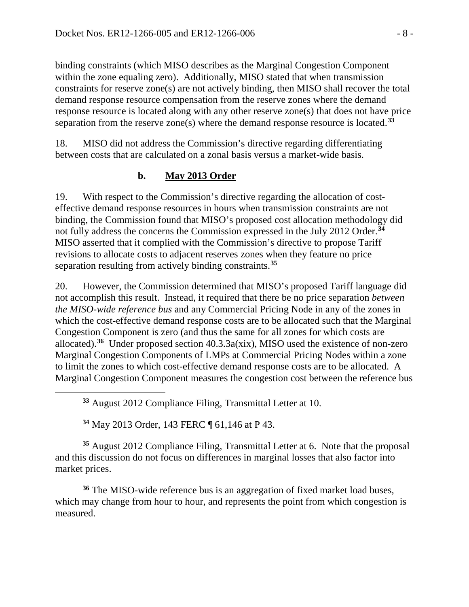binding constraints (which MISO describes as the Marginal Congestion Component within the zone equaling zero). Additionally, MISO stated that when transmission constraints for reserve zone(s) are not actively binding, then MISO shall recover the total demand response resource compensation from the reserve zones where the demand response resource is located along with any other reserve zone(s) that does not have price separation from the reserve zone(s) where the demand response resource is located.**[33](#page-7-0)**

18. MISO did not address the Commission's directive regarding differentiating between costs that are calculated on a zonal basis versus a market-wide basis.

## **b. May 2013 Order**

19. With respect to the Commission's directive regarding the allocation of costeffective demand response resources in hours when transmission constraints are not binding, the Commission found that MISO's proposed cost allocation methodology did not fully address the concerns the Commission expressed in the July 2012 Order.**[34](#page-7-1)** MISO asserted that it complied with the Commission's directive to propose Tariff revisions to allocate costs to adjacent reserves zones when they feature no price separation resulting from actively binding constraints.**[35](#page-7-2)**

20. However, the Commission determined that MISO's proposed Tariff language did not accomplish this result. Instead, it required that there be no price separation *between the MISO-wide reference bus* and any Commercial Pricing Node in any of the zones in which the cost-effective demand response costs are to be allocated such that the Marginal Congestion Component is zero (and thus the same for all zones for which costs are allocated).**[36](#page-7-3)** Under proposed section 40.3.3a(xix), MISO used the existence of non-zero Marginal Congestion Components of LMPs at Commercial Pricing Nodes within a zone to limit the zones to which cost-effective demand response costs are to be allocated. A Marginal Congestion Component measures the congestion cost between the reference bus

**<sup>33</sup>** August 2012 Compliance Filing, Transmittal Letter at 10.

**<sup>34</sup>** May 2013 Order, 143 FERC ¶ 61,146 at P 43.

<span id="page-7-0"></span> $\overline{a}$ 

<span id="page-7-2"></span><span id="page-7-1"></span>**<sup>35</sup>** August 2012 Compliance Filing, Transmittal Letter at 6. Note that the proposal and this discussion do not focus on differences in marginal losses that also factor into market prices.

<span id="page-7-3"></span>**<sup>36</sup>** The MISO-wide reference bus is an aggregation of fixed market load buses, which may change from hour to hour, and represents the point from which congestion is measured.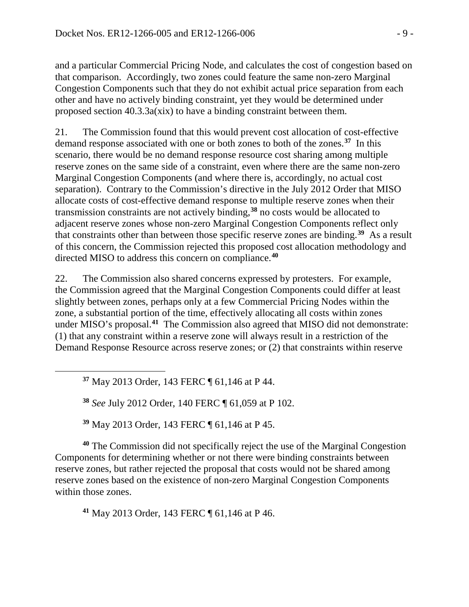and a particular Commercial Pricing Node, and calculates the cost of congestion based on that comparison. Accordingly, two zones could feature the same non-zero Marginal Congestion Components such that they do not exhibit actual price separation from each other and have no actively binding constraint, yet they would be determined under proposed section 40.3.3a(xix) to have a binding constraint between them.

21. The Commission found that this would prevent cost allocation of cost-effective demand response associated with one or both zones to both of the zones.**[37](#page-8-0)** In this scenario, there would be no demand response resource cost sharing among multiple reserve zones on the same side of a constraint, even where there are the same non-zero Marginal Congestion Components (and where there is, accordingly, no actual cost separation). Contrary to the Commission's directive in the July 2012 Order that MISO allocate costs of cost-effective demand response to multiple reserve zones when their transmission constraints are not actively binding,**[38](#page-8-1)** no costs would be allocated to adjacent reserve zones whose non-zero Marginal Congestion Components reflect only that constraints other than between those specific reserve zones are binding.**[39](#page-8-2)** As a result of this concern, the Commission rejected this proposed cost allocation methodology and directed MISO to address this concern on compliance.**[40](#page-8-3)**

22. The Commission also shared concerns expressed by protesters. For example, the Commission agreed that the Marginal Congestion Components could differ at least slightly between zones, perhaps only at a few Commercial Pricing Nodes within the zone, a substantial portion of the time, effectively allocating all costs within zones under MISO's proposal.**[41](#page-8-4)** The Commission also agreed that MISO did not demonstrate: (1) that any constraint within a reserve zone will always result in a restriction of the Demand Response Resource across reserve zones; or (2) that constraints within reserve

**<sup>37</sup>** May 2013 Order, 143 FERC ¶ 61,146 at P 44.

<span id="page-8-1"></span><span id="page-8-0"></span> $\overline{a}$ 

**<sup>38</sup>** *See* July 2012 Order, 140 FERC ¶ 61,059 at P 102.

**<sup>39</sup>** May 2013 Order, 143 FERC ¶ 61,146 at P 45.

<span id="page-8-3"></span><span id="page-8-2"></span>**<sup>40</sup>** The Commission did not specifically reject the use of the Marginal Congestion Components for determining whether or not there were binding constraints between reserve zones, but rather rejected the proposal that costs would not be shared among reserve zones based on the existence of non-zero Marginal Congestion Components within those zones.

<span id="page-8-4"></span>**<sup>41</sup>** May 2013 Order, 143 FERC ¶ 61,146 at P 46.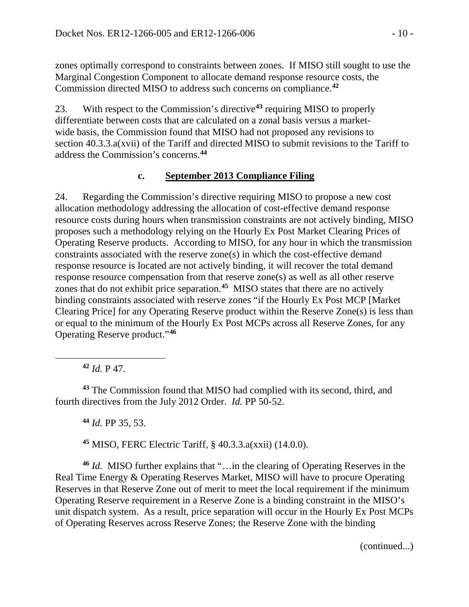zones optimally correspond to constraints between zones. If MISO still sought to use the Marginal Congestion Component to allocate demand response resource costs, the Commission directed MISO to address such concerns on compliance. **[42](#page-9-0)**

23. With respect to the Commission's directive**[43](#page-9-1)** requiring MISO to properly differentiate between costs that are calculated on a zonal basis versus a marketwide basis, the Commission found that MISO had not proposed any revisions to section 40.3.3.a(xvii) of the Tariff and directed MISO to submit revisions to the Tariff to address the Commission's concerns.**[44](#page-9-2)**

#### **c. September 2013 Compliance Filing**

24. Regarding the Commission's directive requiring MISO to propose a new cost allocation methodology addressing the allocation of cost-effective demand response resource costs during hours when transmission constraints are not actively binding, MISO proposes such a methodology relying on the Hourly Ex Post Market Clearing Prices of Operating Reserve products. According to MISO, for any hour in which the transmission constraints associated with the reserve zone(s) in which the cost-effective demand response resource is located are not actively binding, it will recover the total demand response resource compensation from that reserve zone(s) as well as all other reserve zones that do not exhibit price separation. **[45](#page-9-3)** MISO states that there are no actively binding constraints associated with reserve zones "if the Hourly Ex Post MCP [Market Clearing Price] for any Operating Reserve product within the Reserve Zone(s) is less than or equal to the minimum of the Hourly Ex Post MCPs across all Reserve Zones, for any Operating Reserve product."**[46](#page-9-4)**

**<sup>42</sup>** *Id.* P 47.

<span id="page-9-0"></span> $\overline{a}$ 

<span id="page-9-2"></span><span id="page-9-1"></span>**<sup>43</sup>** The Commission found that MISO had complied with its second, third, and fourth directives from the July 2012 Order. *Id.* PP 50-52.

**<sup>44</sup>** *Id.* PP 35, 53.

**<sup>45</sup>** MISO, FERC Electric Tariff, § 40.3.3.a(xxii) (14.0.0).

<span id="page-9-4"></span><span id="page-9-3"></span>**<sup>46</sup>** *Id.* MISO further explains that "…in the clearing of Operating Reserves in the Real Time Energy & Operating Reserves Market, MISO will have to procure Operating Reserves in that Reserve Zone out of merit to meet the local requirement if the minimum Operating Reserve requirement in a Reserve Zone is a binding constraint in the MISO's unit dispatch system. As a result, price separation will occur in the Hourly Ex Post MCPs of Operating Reserves across Reserve Zones; the Reserve Zone with the binding

(continued...)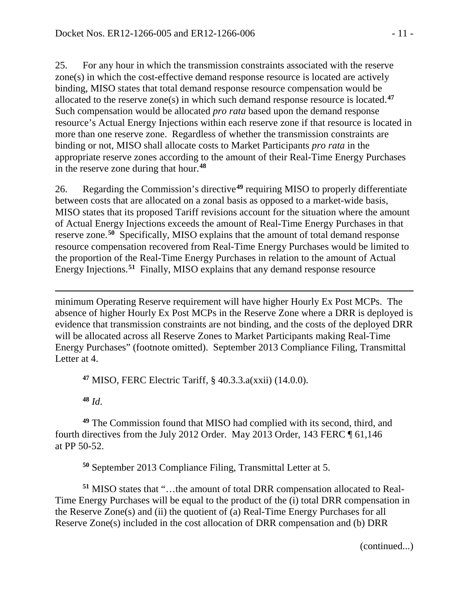25. For any hour in which the transmission constraints associated with the reserve zone(s) in which the cost-effective demand response resource is located are actively binding, MISO states that total demand response resource compensation would be allocated to the reserve zone(s) in which such demand response resource is located.**[47](#page-10-0)** Such compensation would be allocated *pro rata* based upon the demand response resource's Actual Energy Injections within each reserve zone if that resource is located in more than one reserve zone. Regardless of whether the transmission constraints are binding or not, MISO shall allocate costs to Market Participants *pro rata* in the appropriate reserve zones according to the amount of their Real-Time Energy Purchases in the reserve zone during that hour.**[48](#page-10-1)**

26. Regarding the Commission's directive**[49](#page-10-2)** requiring MISO to properly differentiate between costs that are allocated on a zonal basis as opposed to a market-wide basis, MISO states that its proposed Tariff revisions account for the situation where the amount of Actual Energy Injections exceeds the amount of Real-Time Energy Purchases in that reserve zone.**[50](#page-10-3)** Specifically, MISO explains that the amount of total demand response resource compensation recovered from Real-Time Energy Purchases would be limited to the proportion of the Real-Time Energy Purchases in relation to the amount of Actual Energy Injections. **[51](#page-10-4)** Finally, MISO explains that any demand response resource

 $\overline{a}$ minimum Operating Reserve requirement will have higher Hourly Ex Post MCPs. The absence of higher Hourly Ex Post MCPs in the Reserve Zone where a DRR is deployed is evidence that transmission constraints are not binding, and the costs of the deployed DRR will be allocated across all Reserve Zones to Market Participants making Real-Time Energy Purchases" (footnote omitted). September 2013 Compliance Filing, Transmittal Letter at 4.

**<sup>47</sup>** MISO, FERC Electric Tariff, § 40.3.3.a(xxii) (14.0.0).

**<sup>48</sup>** *Id*.

<span id="page-10-2"></span><span id="page-10-1"></span><span id="page-10-0"></span>**<sup>49</sup>** The Commission found that MISO had complied with its second, third, and fourth directives from the July 2012 Order. May 2013 Order, 143 FERC ¶ 61,146 at PP 50-52.

**<sup>50</sup>** September 2013 Compliance Filing, Transmittal Letter at 5.

<span id="page-10-4"></span><span id="page-10-3"></span>**<sup>51</sup>** MISO states that "…the amount of total DRR compensation allocated to Real-Time Energy Purchases will be equal to the product of the (i) total DRR compensation in the Reserve Zone(s) and (ii) the quotient of (a) Real-Time Energy Purchases for all Reserve Zone(s) included in the cost allocation of DRR compensation and (b) DRR

(continued...)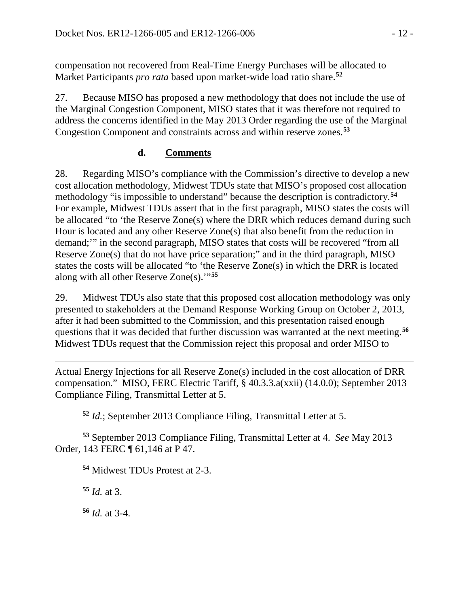compensation not recovered from Real-Time Energy Purchases will be allocated to Market Participants *pro rata* based upon market-wide load ratio share.**[52](#page-11-0)**

27. Because MISO has proposed a new methodology that does not include the use of the Marginal Congestion Component, MISO states that it was therefore not required to address the concerns identified in the May 2013 Order regarding the use of the Marginal Congestion Component and constraints across and within reserve zones. **[53](#page-11-1)**

# **d. Comments**

28. Regarding MISO's compliance with the Commission's directive to develop a new cost allocation methodology, Midwest TDUs state that MISO's proposed cost allocation methodology "is impossible to understand" because the description is contradictory.**[54](#page-11-2)** For example, Midwest TDUs assert that in the first paragraph, MISO states the costs will be allocated "to 'the Reserve Zone(s) where the DRR which reduces demand during such Hour is located and any other Reserve Zone(s) that also benefit from the reduction in demand;'" in the second paragraph, MISO states that costs will be recovered "from all Reserve Zone(s) that do not have price separation;" and in the third paragraph, MISO states the costs will be allocated "to 'the Reserve Zone(s) in which the DRR is located along with all other Reserve Zone(s).'"**[55](#page-11-3)**

29. Midwest TDUs also state that this proposed cost allocation methodology was only presented to stakeholders at the Demand Response Working Group on October 2, 2013, after it had been submitted to the Commission, and this presentation raised enough questions that it was decided that further discussion was warranted at the next meeting.**[56](#page-11-4)** Midwest TDUs request that the Commission reject this proposal and order MISO to

 $\overline{a}$ Actual Energy Injections for all Reserve Zone(s) included in the cost allocation of DRR compensation." MISO, FERC Electric Tariff, § 40.3.3.a(xxii) (14.0.0); September 2013 Compliance Filing, Transmittal Letter at 5.

**<sup>52</sup>** *Id.*; September 2013 Compliance Filing, Transmittal Letter at 5.

<span id="page-11-3"></span><span id="page-11-2"></span><span id="page-11-1"></span><span id="page-11-0"></span>**<sup>53</sup>** September 2013 Compliance Filing, Transmittal Letter at 4. *See* May 2013 Order, 143 FERC ¶ 61,146 at P 47.

**<sup>54</sup>** Midwest TDUs Protest at 2-3.

**<sup>55</sup>** *Id.* at 3.

<span id="page-11-4"></span>**<sup>56</sup>** *Id.* at 3-4.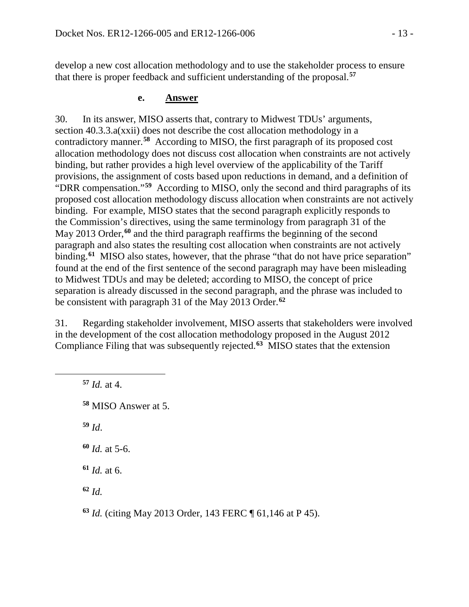develop a new cost allocation methodology and to use the stakeholder process to ensure that there is proper feedback and sufficient understanding of the proposal.**[57](#page-12-0)**

#### **e. Answer**

30. In its answer, MISO asserts that, contrary to Midwest TDUs' arguments, section 40.3.3.a(xxii) does not describe the cost allocation methodology in a contradictory manner.**[58](#page-12-1)** According to MISO, the first paragraph of its proposed cost allocation methodology does not discuss cost allocation when constraints are not actively binding, but rather provides a high level overview of the applicability of the Tariff provisions, the assignment of costs based upon reductions in demand, and a definition of "DRR compensation."**[59](#page-12-2)** According to MISO, only the second and third paragraphs of its proposed cost allocation methodology discuss allocation when constraints are not actively binding. For example, MISO states that the second paragraph explicitly responds to the Commission's directives, using the same terminology from paragraph 31 of the May 2013 Order, **[60](#page-12-3)** and the third paragraph reaffirms the beginning of the second paragraph and also states the resulting cost allocation when constraints are not actively binding.**[61](#page-12-4)** MISO also states, however, that the phrase "that do not have price separation" found at the end of the first sentence of the second paragraph may have been misleading to Midwest TDUs and may be deleted; according to MISO, the concept of price separation is already discussed in the second paragraph, and the phrase was included to be consistent with paragraph 31 of the May 2013 Order.**[62](#page-12-5)**

31. Regarding stakeholder involvement, MISO asserts that stakeholders were involved in the development of the cost allocation methodology proposed in the August 2012 Compliance Filing that was subsequently rejected.**[63](#page-12-6)** MISO states that the extension

 *Id.* at 4. MISO Answer at 5. **<sup>59</sup>** *Id*. *Id.* at 5-6. *Id.* at 6. **<sup>62</sup>** *Id.*

<span id="page-12-3"></span><span id="page-12-2"></span><span id="page-12-1"></span><span id="page-12-0"></span> $\overline{a}$ 

<span id="page-12-6"></span><span id="page-12-5"></span><span id="page-12-4"></span>**<sup>63</sup>** *Id.* (citing May 2013 Order, 143 FERC ¶ 61,146 at P 45).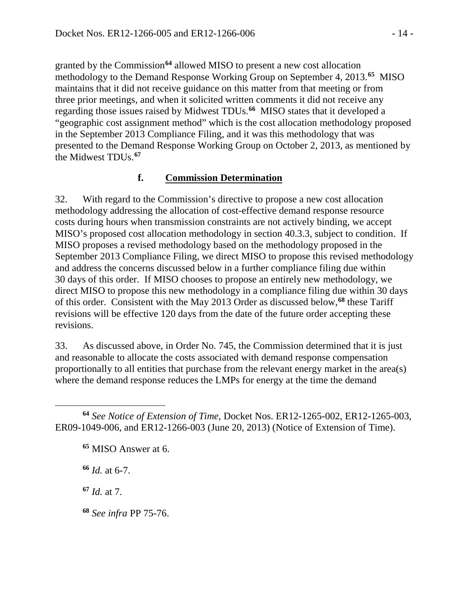granted by the Commission**[64](#page-13-0)** allowed MISO to present a new cost allocation methodology to the Demand Response Working Group on September 4, 2013. **[65](#page-13-1)** MISO maintains that it did not receive guidance on this matter from that meeting or from three prior meetings, and when it solicited written comments it did not receive any regarding those issues raised by Midwest TDUs.**[66](#page-13-2)** MISO states that it developed a "geographic cost assignment method" which is the cost allocation methodology proposed in the September 2013 Compliance Filing, and it was this methodology that was presented to the Demand Response Working Group on October 2, 2013, as mentioned by the Midwest TDUs.**[67](#page-13-3)**

#### **f. Commission Determination**

32. With regard to the Commission's directive to propose a new cost allocation methodology addressing the allocation of cost-effective demand response resource costs during hours when transmission constraints are not actively binding, we accept MISO's proposed cost allocation methodology in section 40.3.3, subject to condition. If MISO proposes a revised methodology based on the methodology proposed in the September 2013 Compliance Filing, we direct MISO to propose this revised methodology and address the concerns discussed below in a further compliance filing due within 30 days of this order. If MISO chooses to propose an entirely new methodology, we direct MISO to propose this new methodology in a compliance filing due within 30 days of this order. Consistent with the May 2013 Order as discussed below,**[68](#page-13-4)** these Tariff revisions will be effective 120 days from the date of the future order accepting these revisions.

33. As discussed above, in Order No. 745, the Commission determined that it is just and reasonable to allocate the costs associated with demand response compensation proportionally to all entities that purchase from the relevant energy market in the area(s) where the demand response reduces the LMPs for energy at the time the demand

**<sup>66</sup>** *Id.* at 6-7.

<span id="page-13-3"></span>**<sup>67</sup>** *Id.* at 7.

 $\overline{a}$ 

<span id="page-13-4"></span>**<sup>68</sup>** *See infra* PP 75-76.

<span id="page-13-2"></span><span id="page-13-1"></span><span id="page-13-0"></span>**<sup>64</sup>** *See Notice of Extension of Time*, Docket Nos. ER12-1265-002, ER12-1265-003, ER09-1049-006, and ER12-1266-003 (June 20, 2013) (Notice of Extension of Time).

**<sup>65</sup>** MISO Answer at 6.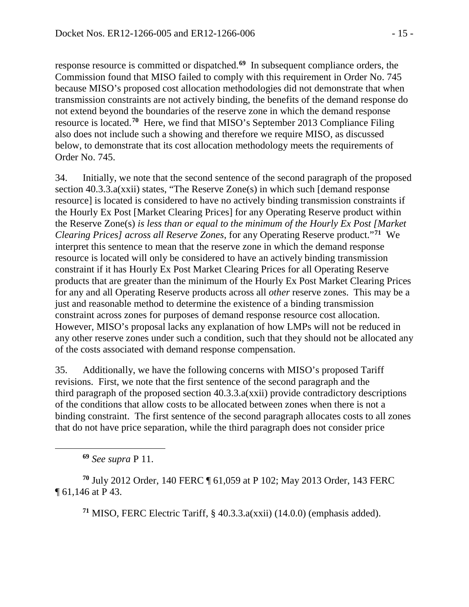response resource is committed or dispatched.**[69](#page-14-0)** In subsequent compliance orders, the Commission found that MISO failed to comply with this requirement in Order No. 745 because MISO's proposed cost allocation methodologies did not demonstrate that when transmission constraints are not actively binding, the benefits of the demand response do not extend beyond the boundaries of the reserve zone in which the demand response resource is located. **[70](#page-14-1)** Here, we find that MISO's September 2013 Compliance Filing also does not include such a showing and therefore we require MISO, as discussed below, to demonstrate that its cost allocation methodology meets the requirements of Order No. 745.

34. Initially, we note that the second sentence of the second paragraph of the proposed section 40.3.3.a(xxii) states, "The Reserve Zone(s) in which such [demand response resource] is located is considered to have no actively binding transmission constraints if the Hourly Ex Post [Market Clearing Prices] for any Operating Reserve product within the Reserve Zone(s) *is less than or equal to the minimum of the Hourly Ex Post [Market Clearing Prices] across all Reserve Zones*, for any Operating Reserve product."**[71](#page-14-2)** We interpret this sentence to mean that the reserve zone in which the demand response resource is located will only be considered to have an actively binding transmission constraint if it has Hourly Ex Post Market Clearing Prices for all Operating Reserve products that are greater than the minimum of the Hourly Ex Post Market Clearing Prices for any and all Operating Reserve products across all *other* reserve zones. This may be a just and reasonable method to determine the existence of a binding transmission constraint across zones for purposes of demand response resource cost allocation. However, MISO's proposal lacks any explanation of how LMPs will not be reduced in any other reserve zones under such a condition, such that they should not be allocated any of the costs associated with demand response compensation.

35. Additionally, we have the following concerns with MISO's proposed Tariff revisions. First, we note that the first sentence of the second paragraph and the third paragraph of the proposed section 40.3.3.a(xxii) provide contradictory descriptions of the conditions that allow costs to be allocated between zones when there is not a binding constraint. The first sentence of the second paragraph allocates costs to all zones that do not have price separation, while the third paragraph does not consider price

<span id="page-14-0"></span> $\overline{a}$ 

**<sup>71</sup>** MISO, FERC Electric Tariff, § 40.3.3.a(xxii) (14.0.0) (emphasis added).

**<sup>69</sup>** *See supra* P 11.

<span id="page-14-2"></span><span id="page-14-1"></span>**<sup>70</sup>** July 2012 Order, 140 FERC ¶ 61,059 at P 102; May 2013 Order, 143 FERC ¶ 61,146 at P 43.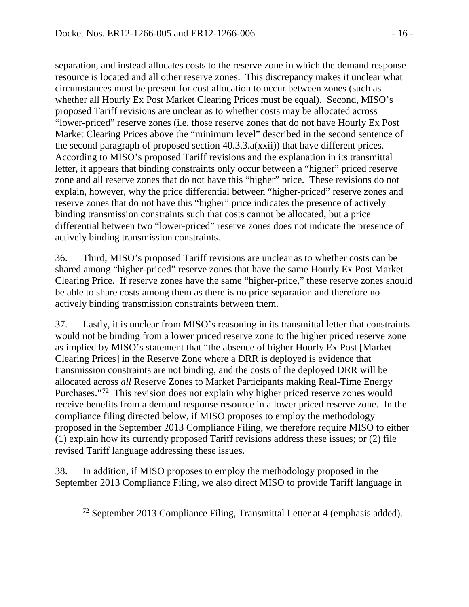separation, and instead allocates costs to the reserve zone in which the demand response resource is located and all other reserve zones. This discrepancy makes it unclear what circumstances must be present for cost allocation to occur between zones (such as whether all Hourly Ex Post Market Clearing Prices must be equal). Second, MISO's proposed Tariff revisions are unclear as to whether costs may be allocated across "lower-priced" reserve zones (i.e. those reserve zones that do not have Hourly Ex Post Market Clearing Prices above the "minimum level" described in the second sentence of the second paragraph of proposed section 40.3.3.a(xxii)) that have different prices. According to MISO's proposed Tariff revisions and the explanation in its transmittal letter, it appears that binding constraints only occur between a "higher" priced reserve zone and all reserve zones that do not have this "higher" price. These revisions do not explain, however, why the price differential between "higher-priced" reserve zones and reserve zones that do not have this "higher" price indicates the presence of actively binding transmission constraints such that costs cannot be allocated, but a price differential between two "lower-priced" reserve zones does not indicate the presence of actively binding transmission constraints.

36. Third, MISO's proposed Tariff revisions are unclear as to whether costs can be shared among "higher-priced" reserve zones that have the same Hourly Ex Post Market Clearing Price. If reserve zones have the same "higher-price," these reserve zones should be able to share costs among them as there is no price separation and therefore no actively binding transmission constraints between them.

37. Lastly, it is unclear from MISO's reasoning in its transmittal letter that constraints would not be binding from a lower priced reserve zone to the higher priced reserve zone as implied by MISO's statement that "the absence of higher Hourly Ex Post [Market Clearing Prices] in the Reserve Zone where a DRR is deployed is evidence that transmission constraints are not binding, and the costs of the deployed DRR will be allocated across *all* Reserve Zones to Market Participants making Real-Time Energy Purchases."**[72](#page-15-0)** This revision does not explain why higher priced reserve zones would receive benefits from a demand response resource in a lower priced reserve zone. In the compliance filing directed below, if MISO proposes to employ the methodology proposed in the September 2013 Compliance Filing, we therefore require MISO to either (1) explain how its currently proposed Tariff revisions address these issues; or (2) file revised Tariff language addressing these issues.

<span id="page-15-0"></span>38. In addition, if MISO proposes to employ the methodology proposed in the September 2013 Compliance Filing, we also direct MISO to provide Tariff language in

**<sup>72</sup>** September 2013 Compliance Filing, Transmittal Letter at 4 (emphasis added).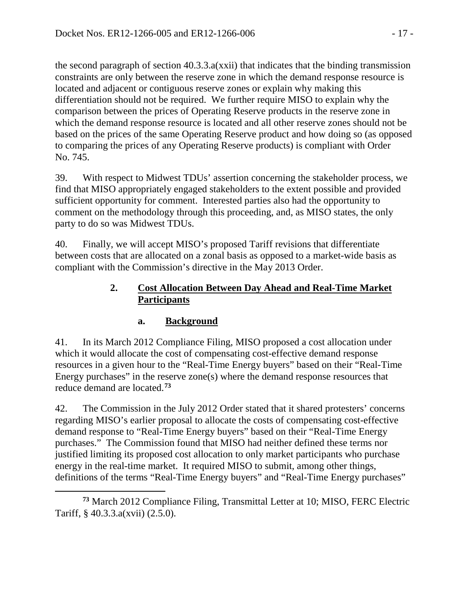the second paragraph of section 40.3.3.a(xxii) that indicates that the binding transmission constraints are only between the reserve zone in which the demand response resource is located and adjacent or contiguous reserve zones or explain why making this differentiation should not be required. We further require MISO to explain why the comparison between the prices of Operating Reserve products in the reserve zone in which the demand response resource is located and all other reserve zones should not be based on the prices of the same Operating Reserve product and how doing so (as opposed to comparing the prices of any Operating Reserve products) is compliant with Order No. 745.

39. With respect to Midwest TDUs' assertion concerning the stakeholder process, we find that MISO appropriately engaged stakeholders to the extent possible and provided sufficient opportunity for comment. Interested parties also had the opportunity to comment on the methodology through this proceeding, and, as MISO states, the only party to do so was Midwest TDUs.

40. Finally, we will accept MISO's proposed Tariff revisions that differentiate between costs that are allocated on a zonal basis as opposed to a market-wide basis as compliant with the Commission's directive in the May 2013 Order.

### **2. Cost Allocation Between Day Ahead and Real-Time Market Participants**

## **a. Background**

41. In its March 2012 Compliance Filing, MISO proposed a cost allocation under which it would allocate the cost of compensating cost-effective demand response resources in a given hour to the "Real-Time Energy buyers" based on their "Real-Time Energy purchases" in the reserve zone(s) where the demand response resources that reduce demand are located.**[73](#page-16-0)**

42. The Commission in the July 2012 Order stated that it shared protesters' concerns regarding MISO's earlier proposal to allocate the costs of compensating cost-effective demand response to "Real-Time Energy buyers" based on their "Real-Time Energy purchases." The Commission found that MISO had neither defined these terms nor justified limiting its proposed cost allocation to only market participants who purchase energy in the real-time market. It required MISO to submit, among other things, definitions of the terms "Real-Time Energy buyers" and "Real-Time Energy purchases"

<span id="page-16-0"></span> $\overline{a}$ **<sup>73</sup>** March 2012 Compliance Filing, Transmittal Letter at 10; MISO, FERC Electric Tariff, § 40.3.3.a(xvii) (2.5.0).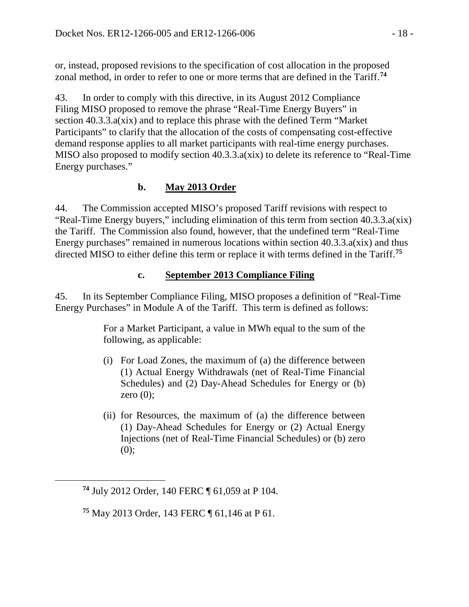or, instead, proposed revisions to the specification of cost allocation in the proposed zonal method, in order to refer to one or more terms that are defined in the Tariff. **[74](#page-17-0)**

43. In order to comply with this directive, in its August 2012 Compliance Filing MISO proposed to remove the phrase "Real-Time Energy Buyers" in section 40.3.3.a(xix) and to replace this phrase with the defined Term "Market Participants" to clarify that the allocation of the costs of compensating cost-effective demand response applies to all market participants with real-time energy purchases. MISO also proposed to modify section 40.3.3.a(xix) to delete its reference to "Real-Time Energy purchases."

## **b. May 2013 Order**

44. The Commission accepted MISO's proposed Tariff revisions with respect to "Real-Time Energy buyers," including elimination of this term from section 40.3.3.a(xix) the Tariff. The Commission also found, however, that the undefined term "Real-Time Energy purchases" remained in numerous locations within section  $40.3.3.a(xix)$  and thus directed MISO to either define this term or replace it with terms defined in the Tariff.**[75](#page-17-1)**

### **c. September 2013 Compliance Filing**

45. In its September Compliance Filing, MISO proposes a definition of "Real-Time Energy Purchases" in Module A of the Tariff. This term is defined as follows:

> For a Market Participant, a value in MWh equal to the sum of the following, as applicable:

- (i) For Load Zones, the maximum of (a) the difference between (1) Actual Energy Withdrawals (net of Real-Time Financial Schedules) and (2) Day-Ahead Schedules for Energy or (b) zero  $(0)$ ;
- (ii) for Resources, the maximum of (a) the difference between (1) Day-Ahead Schedules for Energy or (2) Actual Energy Injections (net of Real-Time Financial Schedules) or (b) zero  $(0);$

<span id="page-17-0"></span>**<sup>74</sup>** July 2012 Order, 140 FERC ¶ 61,059 at P 104.

<span id="page-17-1"></span>**<sup>75</sup>** May 2013 Order, 143 FERC ¶ 61,146 at P 61.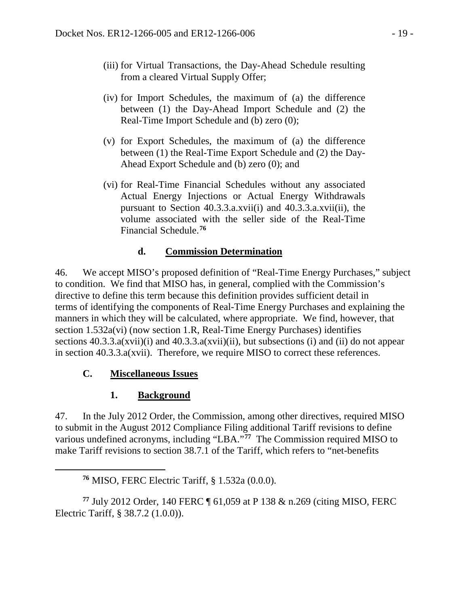- (iii) for Virtual Transactions, the Day-Ahead Schedule resulting from a cleared Virtual Supply Offer;
- (iv) for Import Schedules, the maximum of (a) the difference between (1) the Day-Ahead Import Schedule and (2) the Real-Time Import Schedule and (b) zero (0);
- (v) for Export Schedules, the maximum of (a) the difference between (1) the Real-Time Export Schedule and (2) the Day-Ahead Export Schedule and (b) zero (0); and
- (vi) for Real-Time Financial Schedules without any associated Actual Energy Injections or Actual Energy Withdrawals pursuant to Section 40.3.3.a.xvii(i) and 40.3.3.a.xvii(ii), the volume associated with the seller side of the Real-Time Financial Schedule.**[76](#page-18-0)**

# **d. Commission Determination**

46. We accept MISO's proposed definition of "Real-Time Energy Purchases," subject to condition. We find that MISO has, in general, complied with the Commission's directive to define this term because this definition provides sufficient detail in terms of identifying the components of Real-Time Energy Purchases and explaining the manners in which they will be calculated, where appropriate. We find, however, that section 1.532a(vi) (now section 1.R, Real-Time Energy Purchases) identifies sections  $40.3.3.a(xvii)(i)$  and  $40.3.3.a(xvii)(ii)$ , but subsections (i) and (ii) do not appear in section 40.3.3.a(xvii). Therefore, we require MISO to correct these references.

## **C. Miscellaneous Issues**

<span id="page-18-0"></span> $\overline{a}$ 

# **1. Background**

47. In the July 2012 Order, the Commission, among other directives, required MISO to submit in the August 2012 Compliance Filing additional Tariff revisions to define various undefined acronyms, including "LBA."**[77](#page-18-1)** The Commission required MISO to make Tariff revisions to section 38.7.1 of the Tariff, which refers to "net-benefits

<span id="page-18-1"></span>**<sup>77</sup>** July 2012 Order, 140 FERC ¶ 61,059 at P 138 & n.269 (citing MISO, FERC Electric Tariff, § 38.7.2 (1.0.0)).

**<sup>76</sup>** MISO, FERC Electric Tariff, § 1.532a (0.0.0).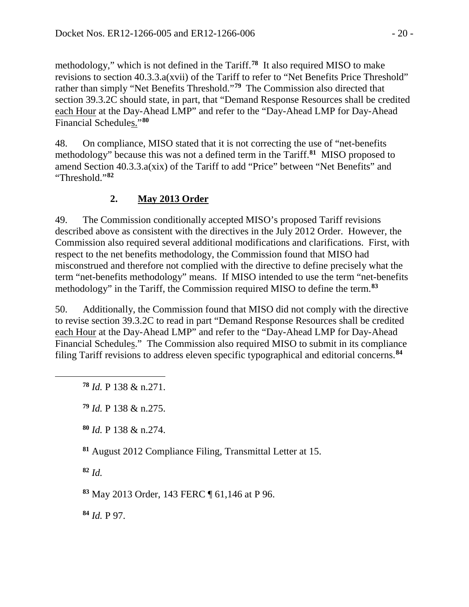methodology," which is not defined in the Tariff.**[78](#page-19-0)** It also required MISO to make revisions to section 40.3.3.a(xvii) of the Tariff to refer to "Net Benefits Price Threshold" rather than simply "Net Benefits Threshold."**[79](#page-19-1)** The Commission also directed that section 39.3.2C should state, in part, that "Demand Response Resources shall be credited each Hour at the Day-Ahead LMP" and refer to the "Day-Ahead LMP for Day-Ahead Financial Schedules."**[80](#page-19-2)**

48. On compliance, MISO stated that it is not correcting the use of "net-benefits methodology" because this was not a defined term in the Tariff.**[81](#page-19-3)** MISO proposed to amend Section 40.3.3.a(xix) of the Tariff to add "Price" between "Net Benefits" and "Threshold."**[82](#page-19-4)**

# **2. May 2013 Order**

49. The Commission conditionally accepted MISO's proposed Tariff revisions described above as consistent with the directives in the July 2012 Order. However, the Commission also required several additional modifications and clarifications. First, with respect to the net benefits methodology, the Commission found that MISO had misconstrued and therefore not complied with the directive to define precisely what the term "net-benefits methodology" means. If MISO intended to use the term "net-benefits methodology" in the Tariff, the Commission required MISO to define the term.**[83](#page-19-5)**

50. Additionally, the Commission found that MISO did not comply with the directive to revise section 39.3.2C to read in part "Demand Response Resources shall be credited each Hour at the Day-Ahead LMP" and refer to the "Day-Ahead LMP for Day-Ahead Financial Schedules." The Commission also required MISO to submit in its compliance filing Tariff revisions to address eleven specific typographical and editorial concerns. **[84](#page-19-6)**

**<sup>78</sup>** *Id.* P 138 & n.271.

- **<sup>80</sup>** *Id.* P 138 & n.274.
- <span id="page-19-3"></span>**<sup>81</sup>** August 2012 Compliance Filing, Transmittal Letter at 15.

<span id="page-19-4"></span>**<sup>82</sup>** *Id.*

<span id="page-19-2"></span><span id="page-19-1"></span><span id="page-19-0"></span> $\overline{a}$ 

<span id="page-19-5"></span>**<sup>83</sup>** May 2013 Order, 143 FERC ¶ 61,146 at P 96.

<span id="page-19-6"></span>**<sup>84</sup>** *Id.* P 97.

**<sup>79</sup>** *Id.* P 138 & n.275.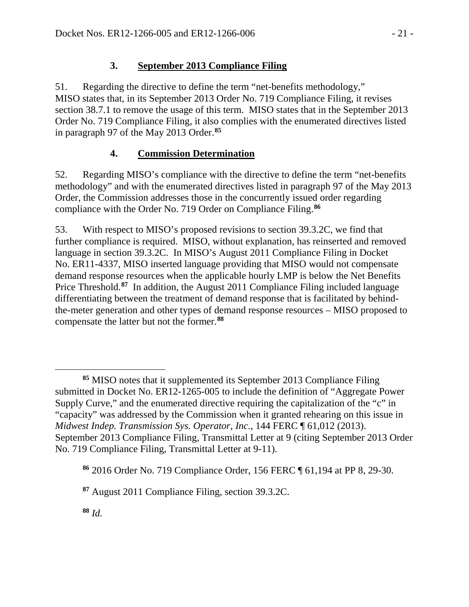## **3. September 2013 Compliance Filing**

51. Regarding the directive to define the term "net-benefits methodology," MISO states that, in its September 2013 Order No. 719 Compliance Filing, it revises section 38.7.1 to remove the usage of this term. MISO states that in the September 2013 Order No. 719 Compliance Filing, it also complies with the enumerated directives listed in paragraph 97 of the May 2013 Order. **[85](#page-20-0)**

## **4. Commission Determination**

52. Regarding MISO's compliance with the directive to define the term "net-benefits methodology" and with the enumerated directives listed in paragraph 97 of the May 2013 Order, the Commission addresses those in the concurrently issued order regarding compliance with the Order No. 719 Order on Compliance Filing.**[86](#page-20-1)**

53. With respect to MISO's proposed revisions to section 39.3.2C, we find that further compliance is required. MISO, without explanation, has reinserted and removed language in section 39.3.2C. In MISO's August 2011 Compliance Filing in Docket No. ER11-4337, MISO inserted language providing that MISO would not compensate demand response resources when the applicable hourly LMP is below the Net Benefits Price Threshold.**[87](#page-20-2)** In addition, the August 2011 Compliance Filing included language differentiating between the treatment of demand response that is facilitated by behindthe-meter generation and other types of demand response resources – MISO proposed to compensate the latter but not the former. **[88](#page-20-3)**

<span id="page-20-0"></span> $\overline{a}$ **<sup>85</sup>** MISO notes that it supplemented its September 2013 Compliance Filing submitted in Docket No. ER12-1265-005 to include the definition of "Aggregate Power Supply Curve," and the enumerated directive requiring the capitalization of the "c" in "capacity" was addressed by the Commission when it granted rehearing on this issue in *Midwest Indep. Transmission Sys. Operator, Inc.*, 144 FERC ¶ 61,012 (2013). September 2013 Compliance Filing, Transmittal Letter at 9 (citing September 2013 Order No. 719 Compliance Filing, Transmittal Letter at 9-11).

<span id="page-20-1"></span>**<sup>86</sup>** 2016 Order No. 719 Compliance Order, 156 FERC ¶ 61,194 at PP 8, 29-30.

<span id="page-20-2"></span>**<sup>87</sup>** August 2011 Compliance Filing, section 39.3.2C.

<span id="page-20-3"></span>**<sup>88</sup>** *Id.*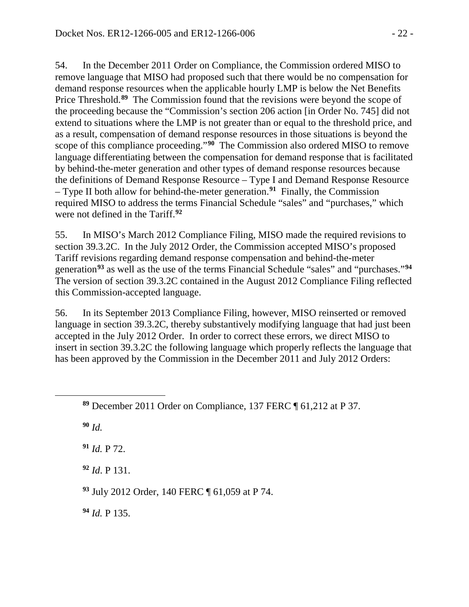54. In the December 2011 Order on Compliance, the Commission ordered MISO to remove language that MISO had proposed such that there would be no compensation for demand response resources when the applicable hourly LMP is below the Net Benefits Price Threshold.<sup>[89](#page-21-0)</sup> The Commission found that the revisions were beyond the scope of the proceeding because the "Commission's section 206 action [in Order No. 745] did not extend to situations where the LMP is not greater than or equal to the threshold price, and as a result, compensation of demand response resources in those situations is beyond the scope of this compliance proceeding."**[90](#page-21-1)** The Commission also ordered MISO to remove language differentiating between the compensation for demand response that is facilitated by behind-the-meter generation and other types of demand response resources because the definitions of Demand Response Resource – Type I and Demand Response Resource – Type II both allow for behind-the-meter generation.**[91](#page-21-2)** Finally, the Commission required MISO to address the terms Financial Schedule "sales" and "purchases," which were not defined in the Tariff.**[92](#page-21-3)**

55. In MISO's March 2012 Compliance Filing, MISO made the required revisions to section 39.3.2C. In the July 2012 Order, the Commission accepted MISO's proposed Tariff revisions regarding demand response compensation and behind-the-meter generation**[93](#page-21-4)** as well as the use of the terms Financial Schedule "sales" and "purchases."**[94](#page-21-5)** The version of section 39.3.2C contained in the August 2012 Compliance Filing reflected this Commission-accepted language.

56. In its September 2013 Compliance Filing, however, MISO reinserted or removed language in section 39.3.2C, thereby substantively modifying language that had just been accepted in the July 2012 Order. In order to correct these errors, we direct MISO to insert in section 39.3.2C the following language which properly reflects the language that has been approved by the Commission in the December 2011 and July 2012 Orders:

**<sup>90</sup>** *Id.*

<span id="page-21-2"></span><span id="page-21-1"></span><span id="page-21-0"></span> $\overline{a}$ 

**<sup>91</sup>** *Id.* P 72.

<span id="page-21-3"></span>**<sup>92</sup>** *Id*. P 131.

<span id="page-21-4"></span>**<sup>93</sup>** July 2012 Order, 140 FERC ¶ 61,059 at P 74.

<span id="page-21-5"></span>**<sup>94</sup>** *Id.* P 135.

**<sup>89</sup>** December 2011 Order on Compliance, 137 FERC ¶ 61,212 at P 37.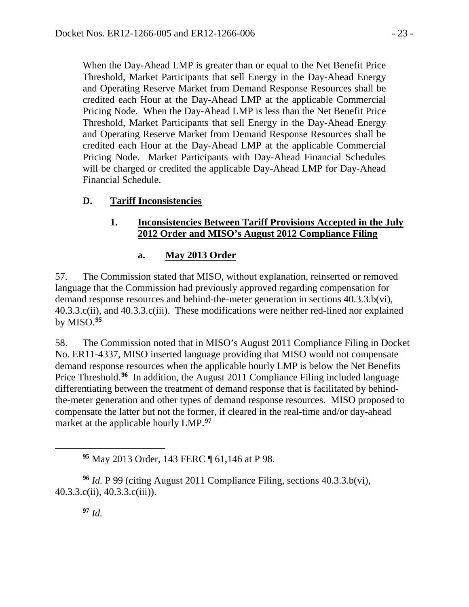When the Day-Ahead LMP is greater than or equal to the Net Benefit Price Threshold, Market Participants that sell Energy in the Day-Ahead Energy and Operating Reserve Market from Demand Response Resources shall be credited each Hour at the Day-Ahead LMP at the applicable Commercial Pricing Node. When the Day-Ahead LMP is less than the Net Benefit Price Threshold, Market Participants that sell Energy in the Day-Ahead Energy and Operating Reserve Market from Demand Response Resources shall be credited each Hour at the Day-Ahead LMP at the applicable Commercial Pricing Node. Market Participants with Day-Ahead Financial Schedules will be charged or credited the applicable Day-Ahead LMP for Day-Ahead Financial Schedule.

## **D. Tariff Inconsistencies**

### **1. Inconsistencies Between Tariff Provisions Accepted in the July 2012 Order and MISO's August 2012 Compliance Filing**

## **a. May 2013 Order**

57. The Commission stated that MISO, without explanation, reinserted or removed language that the Commission had previously approved regarding compensation for demand response resources and behind-the-meter generation in sections 40.3.3.b(vi), 40.3.3.c(ii), and 40.3.3.c(iii). These modifications were neither red-lined nor explained by MISO.**[95](#page-22-0)**

58. The Commission noted that in MISO's August 2011 Compliance Filing in Docket No. ER11-4337, MISO inserted language providing that MISO would not compensate demand response resources when the applicable hourly LMP is below the Net Benefits Price Threshold.<sup>[96](#page-22-1)</sup> In addition, the August 2011 Compliance Filing included language differentiating between the treatment of demand response that is facilitated by behindthe-meter generation and other types of demand response resources. MISO proposed to compensate the latter but not the former, if cleared in the real-time and/or day-ahead market at the applicable hourly LMP.**[97](#page-22-2)**

**<sup>95</sup>** May 2013 Order, 143 FERC ¶ 61,146 at P 98.

<span id="page-22-2"></span><span id="page-22-1"></span><span id="page-22-0"></span>**<sup>96</sup>** *Id.* P 99 (citing August 2011 Compliance Filing, sections 40.3.3.b(vi), 40.3.3.c(ii), 40.3.3.c(iii)).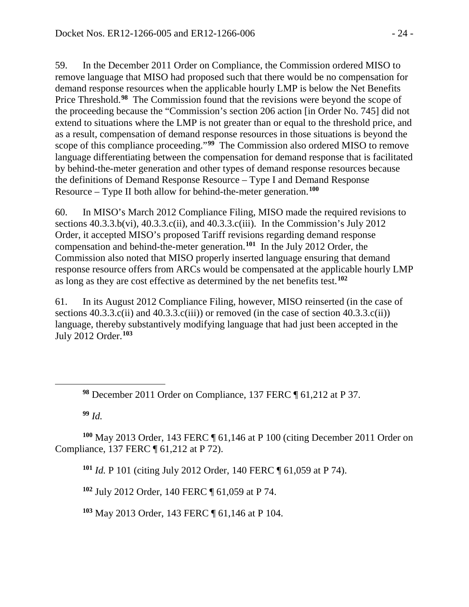59. In the December 2011 Order on Compliance, the Commission ordered MISO to remove language that MISO had proposed such that there would be no compensation for demand response resources when the applicable hourly LMP is below the Net Benefits Price Threshold.**[98](#page-23-0)** The Commission found that the revisions were beyond the scope of the proceeding because the "Commission's section 206 action [in Order No. 745] did not extend to situations where the LMP is not greater than or equal to the threshold price, and as a result, compensation of demand response resources in those situations is beyond the scope of this compliance proceeding."**[99](#page-23-1)** The Commission also ordered MISO to remove language differentiating between the compensation for demand response that is facilitated by behind-the-meter generation and other types of demand response resources because the definitions of Demand Response Resource – Type I and Demand Response Resource – Type II both allow for behind-the-meter generation.**[100](#page-23-2)**

60. In MISO's March 2012 Compliance Filing, MISO made the required revisions to sections  $40.3.3.b(vi)$ ,  $40.3.3.c(ii)$ , and  $40.3.3.c(iii)$ . In the Commission's July 2012 Order, it accepted MISO's proposed Tariff revisions regarding demand response compensation and behind-the-meter generation.**[101](#page-23-3)** In the July 2012 Order, the Commission also noted that MISO properly inserted language ensuring that demand response resource offers from ARCs would be compensated at the applicable hourly LMP as long as they are cost effective as determined by the net benefits test. **[102](#page-23-4)**

61. In its August 2012 Compliance Filing, however, MISO reinserted (in the case of sections  $40.3.3.c(i)$  and  $40.3.3.c(iii)$  or removed (in the case of section  $40.3.3.c(ii)$ ) language, thereby substantively modifying language that had just been accepted in the July 2012 Order.**[103](#page-23-5)**

**<sup>99</sup>** *Id.*

<span id="page-23-0"></span> $\overline{a}$ 

<span id="page-23-4"></span><span id="page-23-3"></span><span id="page-23-2"></span><span id="page-23-1"></span>**<sup>100</sup>** May 2013 Order, 143 FERC ¶ 61,146 at P 100 (citing December 2011 Order on Compliance, 137 FERC ¶ 61,212 at P 72).

**<sup>101</sup>** *Id.* P 101 (citing July 2012 Order, 140 FERC ¶ 61,059 at P 74).

**<sup>102</sup>** July 2012 Order, 140 FERC ¶ 61,059 at P 74.

<span id="page-23-5"></span>**<sup>103</sup>** May 2013 Order, 143 FERC ¶ 61,146 at P 104.

**<sup>98</sup>** December 2011 Order on Compliance, 137 FERC ¶ 61,212 at P 37.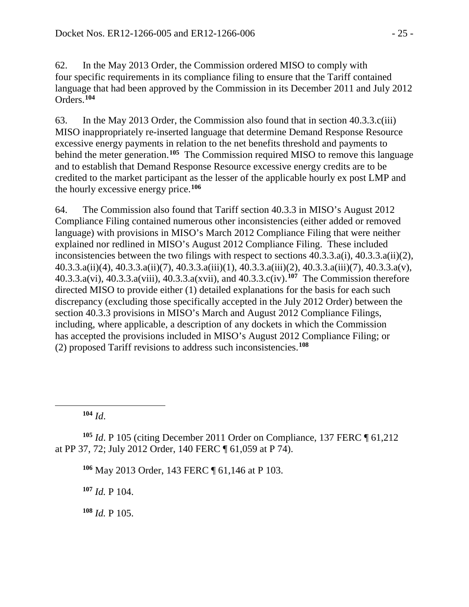62. In the May 2013 Order, the Commission ordered MISO to comply with four specific requirements in its compliance filing to ensure that the Tariff contained language that had been approved by the Commission in its December 2011 and July 2012 Orders. **[104](#page-24-0)**

63. In the May 2013 Order, the Commission also found that in section 40.3.3.c(iii) MISO inappropriately re-inserted language that determine Demand Response Resource excessive energy payments in relation to the net benefits threshold and payments to behind the meter generation.**[105](#page-24-1)** The Commission required MISO to remove this language and to establish that Demand Response Resource excessive energy credits are to be credited to the market participant as the lesser of the applicable hourly ex post LMP and the hourly excessive energy price.**[106](#page-24-2)**

64. The Commission also found that Tariff section 40.3.3 in MISO's August 2012 Compliance Filing contained numerous other inconsistencies (either added or removed language) with provisions in MISO's March 2012 Compliance Filing that were neither explained nor redlined in MISO's August 2012 Compliance Filing. These included inconsistencies between the two filings with respect to sections 40.3.3.a(i), 40.3.3.a(ii)(2), 40.3.3.a(ii)(4), 40.3.3.a(ii)(7), 40.3.3.a(iii)(1), 40.3.3.a(iii)(2), 40.3.3.a(iii)(7), 40.3.3.a(v), 40.3.3.a(vi), 40.3.3.a(viii), 40.3.3.a(xvii), and 40.3.3.c(iv).**[107](#page-24-3)** The Commission therefore directed MISO to provide either (1) detailed explanations for the basis for each such discrepancy (excluding those specifically accepted in the July 2012 Order) between the section 40.3.3 provisions in MISO's March and August 2012 Compliance Filings, including, where applicable, a description of any dockets in which the Commission has accepted the provisions included in MISO's August 2012 Compliance Filing; or (2) proposed Tariff revisions to address such inconsistencies.**[108](#page-24-4)**

**<sup>104</sup>** *Id*.

<span id="page-24-0"></span> $\overline{a}$ 

<span id="page-24-3"></span><span id="page-24-2"></span><span id="page-24-1"></span>**<sup>105</sup>** *Id*. P 105 (citing December 2011 Order on Compliance, 137 FERC ¶ 61,212 at PP 37, 72; July 2012 Order, 140 FERC ¶ 61,059 at P 74).

**<sup>106</sup>** May 2013 Order, 143 FERC ¶ 61,146 at P 103.

**<sup>107</sup>** *Id.* P 104.

<span id="page-24-4"></span>**<sup>108</sup>** *Id.* P 105.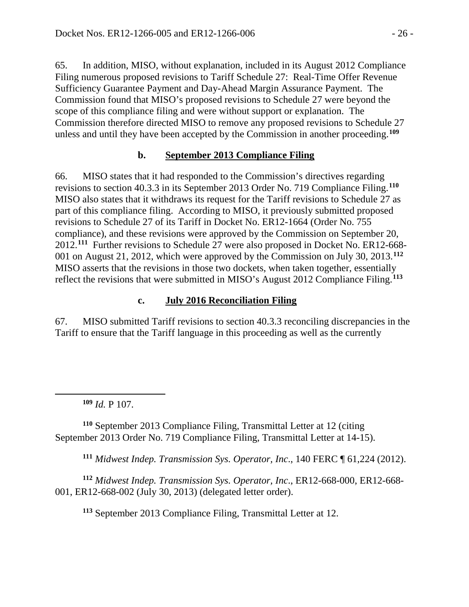65. In addition, MISO, without explanation, included in its August 2012 Compliance Filing numerous proposed revisions to Tariff Schedule 27: Real-Time Offer Revenue Sufficiency Guarantee Payment and Day-Ahead Margin Assurance Payment. The Commission found that MISO's proposed revisions to Schedule 27 were beyond the scope of this compliance filing and were without support or explanation. The Commission therefore directed MISO to remove any proposed revisions to Schedule 27 unless and until they have been accepted by the Commission in another proceeding.**[109](#page-25-0)**

## **b. September 2013 Compliance Filing**

66. MISO states that it had responded to the Commission's directives regarding revisions to section 40.3.3 in its September 2013 Order No. 719 Compliance Filing. **[110](#page-25-1)** MISO also states that it withdraws its request for the Tariff revisions to Schedule 27 as part of this compliance filing. According to MISO, it previously submitted proposed revisions to Schedule 27 of its Tariff in Docket No. ER12-1664 (Order No. 755 compliance), and these revisions were approved by the Commission on September 20, 2012.**[111](#page-25-2)** Further revisions to Schedule 27 were also proposed in Docket No. ER12-668- 001 on August 21, 2012, which were approved by the Commission on July 30, 2013.**[112](#page-25-3)** MISO asserts that the revisions in those two dockets, when taken together, essentially reflect the revisions that were submitted in MISO's August 2012 Compliance Filing.**[113](#page-25-4)**

## **c. July 2016 Reconciliation Filing**

67. MISO submitted Tariff revisions to section 40.3.3 reconciling discrepancies in the Tariff to ensure that the Tariff language in this proceeding as well as the currently

**<sup>109</sup>** *Id.* P 107.

<span id="page-25-0"></span> $\overline{a}$ 

<span id="page-25-1"></span>**<sup>110</sup>** September 2013 Compliance Filing, Transmittal Letter at 12 (citing September 2013 Order No. 719 Compliance Filing, Transmittal Letter at 14-15).

**<sup>111</sup>** *Midwest Indep. Transmission Sys. Operator, Inc*., 140 FERC ¶ 61,224 (2012).

<span id="page-25-4"></span><span id="page-25-3"></span><span id="page-25-2"></span>**<sup>112</sup>** *Midwest Indep. Transmission Sys. Operator, Inc*., ER12-668-000, ER12-668- 001, ER12-668-002 (July 30, 2013) (delegated letter order).

**<sup>113</sup>** September 2013 Compliance Filing, Transmittal Letter at 12.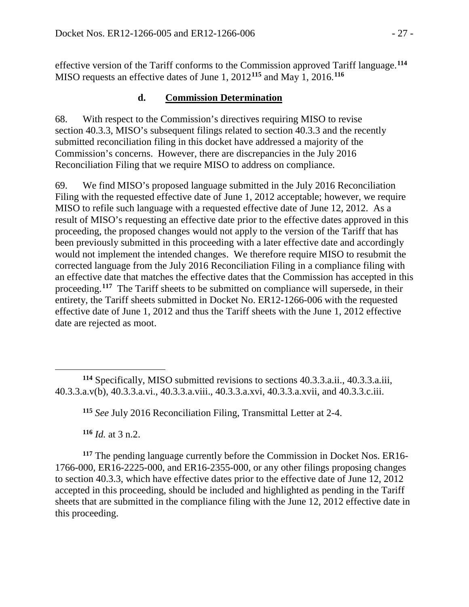effective version of the Tariff conforms to the Commission approved Tariff language.**[114](#page-26-0)** MISO requests an effective dates of June 1, 2012**[115](#page-26-1)** and May 1, 2016. **[116](#page-26-2)**

#### **d. Commission Determination**

68. With respect to the Commission's directives requiring MISO to revise section 40.3.3, MISO's subsequent filings related to section 40.3.3 and the recently submitted reconciliation filing in this docket have addressed a majority of the Commission's concerns. However, there are discrepancies in the July 2016 Reconciliation Filing that we require MISO to address on compliance.

69. We find MISO's proposed language submitted in the July 2016 Reconciliation Filing with the requested effective date of June 1, 2012 acceptable; however, we require MISO to refile such language with a requested effective date of June 12, 2012. As a result of MISO's requesting an effective date prior to the effective dates approved in this proceeding, the proposed changes would not apply to the version of the Tariff that has been previously submitted in this proceeding with a later effective date and accordingly would not implement the intended changes. We therefore require MISO to resubmit the corrected language from the July 2016 Reconciliation Filing in a compliance filing with an effective date that matches the effective dates that the Commission has accepted in this proceeding. **[117](#page-26-3)** The Tariff sheets to be submitted on compliance will supersede, in their entirety, the Tariff sheets submitted in Docket No. ER12-1266-006 with the requested effective date of June 1, 2012 and thus the Tariff sheets with the June 1, 2012 effective date are rejected as moot.

**<sup>115</sup>** *See* July 2016 Reconciliation Filing, Transmittal Letter at 2-4.

**<sup>116</sup>** *Id.* at 3 n.2.

<span id="page-26-3"></span><span id="page-26-2"></span>**<sup>117</sup>** The pending language currently before the Commission in Docket Nos. ER16- 1766-000, ER16-2225-000, and ER16-2355-000, or any other filings proposing changes to section 40.3.3, which have effective dates prior to the effective date of June 12, 2012 accepted in this proceeding, should be included and highlighted as pending in the Tariff sheets that are submitted in the compliance filing with the June 12, 2012 effective date in this proceeding.

<span id="page-26-1"></span><span id="page-26-0"></span> $\overline{a}$ **<sup>114</sup>** Specifically, MISO submitted revisions to sections 40.3.3.a.ii., 40.3.3.a.iii, 40.3.3.a.v(b), 40.3.3.a.vi., 40.3.3.a.viii., 40.3.3.a.xvi, 40.3.3.a.xvii, and 40.3.3.c.iii.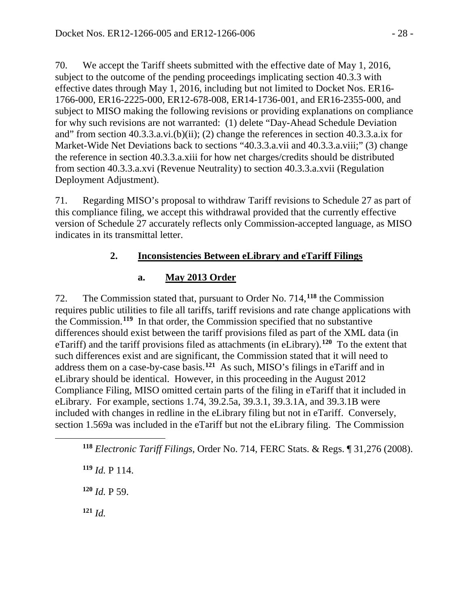70. We accept the Tariff sheets submitted with the effective date of May 1, 2016, subject to the outcome of the pending proceedings implicating section 40.3.3 with effective dates through May 1, 2016, including but not limited to Docket Nos. ER16- 1766-000, ER16-2225-000, ER12-678-008, ER14-1736-001, and ER16-2355-000, and subject to MISO making the following revisions or providing explanations on compliance for why such revisions are not warranted: (1) delete "Day-Ahead Schedule Deviation and" from section 40.3.3.a.vi.(b)(ii); (2) change the references in section 40.3.3.a.ix for Market-Wide Net Deviations back to sections "40.3.3.a.vii and 40.3.3.a.viii;" (3) change the reference in section 40.3.3.a.xiii for how net charges/credits should be distributed from section 40.3.3.a.xvi (Revenue Neutrality) to section 40.3.3.a.xvii (Regulation Deployment Adjustment).

71. Regarding MISO's proposal to withdraw Tariff revisions to Schedule 27 as part of this compliance filing, we accept this withdrawal provided that the currently effective version of Schedule 27 accurately reflects only Commission-accepted language, as MISO indicates in its transmittal letter.

## **2. Inconsistencies Between eLibrary and eTariff Filings**

## **a. May 2013 Order**

72. The Commission stated that, pursuant to Order No. 714,**[118](#page-27-0)** the Commission requires public utilities to file all tariffs, tariff revisions and rate change applications with the Commission.**[119](#page-27-1)** In that order, the Commission specified that no substantive differences should exist between the tariff provisions filed as part of the XML data (in eTariff) and the tariff provisions filed as attachments (in eLibrary).**[120](#page-27-2)** To the extent that such differences exist and are significant, the Commission stated that it will need to address them on a case-by-case basis.**[121](#page-27-3)** As such, MISO's filings in eTariff and in eLibrary should be identical. However, in this proceeding in the August 2012 Compliance Filing, MISO omitted certain parts of the filing in eTariff that it included in eLibrary. For example, sections 1.74, 39.2.5a, 39.3.1, 39.3.1A, and 39.3.1B were included with changes in redline in the eLibrary filing but not in eTariff. Conversely, section 1.569a was included in the eTariff but not the eLibrary filing. The Commission

<span id="page-27-0"></span>**<sup>118</sup>** *Electronic Tariff Filings*, Order No. 714, FERC Stats. & Regs. ¶ 31,276 (2008).

<span id="page-27-1"></span>**<sup>119</sup>** *Id.* P 114.

<span id="page-27-2"></span>**<sup>120</sup>** *Id.* P 59.

<span id="page-27-3"></span>**<sup>121</sup>** *Id.*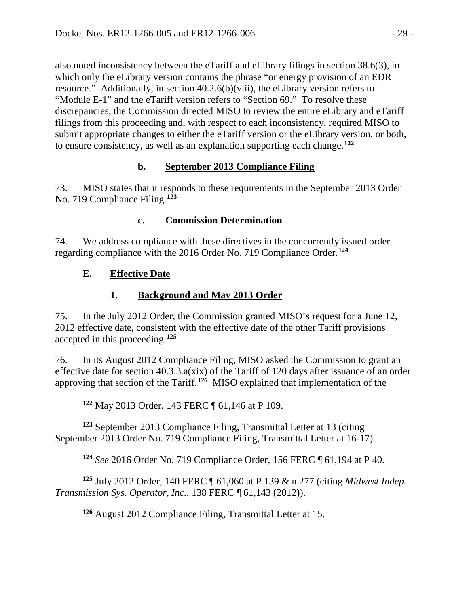also noted inconsistency between the eTariff and eLibrary filings in section 38.6(3), in which only the eLibrary version contains the phrase "or energy provision of an EDR resource." Additionally, in section 40.2.6(b)(viii), the eLibrary version refers to "Module E-1" and the eTariff version refers to "Section 69." To resolve these discrepancies, the Commission directed MISO to review the entire eLibrary and eTariff filings from this proceeding and, with respect to each inconsistency, required MISO to submit appropriate changes to either the eTariff version or the eLibrary version, or both, to ensure consistency, as well as an explanation supporting each change.**[122](#page-28-0)**

## **b. September 2013 Compliance Filing**

73. MISO states that it responds to these requirements in the September 2013 Order No. 719 Compliance Filing. **[123](#page-28-1)**

## **c. Commission Determination**

74. We address compliance with these directives in the concurrently issued order regarding compliance with the 2016 Order No. 719 Compliance Order. **[124](#page-28-2)**

## **E. Effective Date**

<span id="page-28-0"></span> $\overline{a}$ 

# **1. Background and May 2013 Order**

75. In the July 2012 Order, the Commission granted MISO's request for a June 12, 2012 effective date, consistent with the effective date of the other Tariff provisions accepted in this proceeding.**[125](#page-28-3)**

76. In its August 2012 Compliance Filing, MISO asked the Commission to grant an effective date for section 40.3.3.a(xix) of the Tariff of 120 days after issuance of an order approving that section of the Tariff.**[126](#page-28-4)** MISO explained that implementation of the

**<sup>122</sup>** May 2013 Order, 143 FERC ¶ 61,146 at P 109.

<span id="page-28-1"></span>**<sup>123</sup>** September 2013 Compliance Filing, Transmittal Letter at 13 (citing September 2013 Order No. 719 Compliance Filing, Transmittal Letter at 16-17).

**<sup>124</sup>** *See* 2016 Order No. 719 Compliance Order, 156 FERC ¶ 61,194 at P 40.

<span id="page-28-4"></span><span id="page-28-3"></span><span id="page-28-2"></span>**<sup>125</sup>** July 2012 Order, 140 FERC ¶ 61,060 at P 139 & n.277 (citing *Midwest Indep. Transmission Sys. Operator, Inc.*, 138 FERC ¶ 61,143 (2012)).

**<sup>126</sup>** August 2012 Compliance Filing, Transmittal Letter at 15.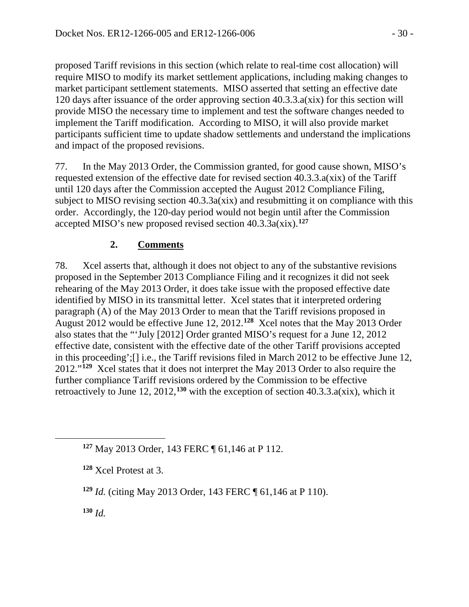proposed Tariff revisions in this section (which relate to real-time cost allocation) will require MISO to modify its market settlement applications, including making changes to market participant settlement statements. MISO asserted that setting an effective date 120 days after issuance of the order approving section 40.3.3.a(xix) for this section will provide MISO the necessary time to implement and test the software changes needed to implement the Tariff modification. According to MISO, it will also provide market participants sufficient time to update shadow settlements and understand the implications and impact of the proposed revisions.

77. In the May 2013 Order, the Commission granted, for good cause shown, MISO's requested extension of the effective date for revised section 40.3.3.a(xix) of the Tariff until 120 days after the Commission accepted the August 2012 Compliance Filing, subject to MISO revising section 40.3.3a(xix) and resubmitting it on compliance with this order. Accordingly, the 120-day period would not begin until after the Commission accepted MISO's new proposed revised section 40.3.3a(xix).**[127](#page-29-0)**

# **2. Comments**

78. Xcel asserts that, although it does not object to any of the substantive revisions proposed in the September 2013 Compliance Filing and it recognizes it did not seek rehearing of the May 2013 Order, it does take issue with the proposed effective date identified by MISO in its transmittal letter. Xcel states that it interpreted ordering paragraph (A) of the May 2013 Order to mean that the Tariff revisions proposed in August 2012 would be effective June 12, 2012. **[128](#page-29-1)** Xcel notes that the May 2013 Order also states that the "'July [2012] Order granted MISO's request for a June 12, 2012 effective date, consistent with the effective date of the other Tariff provisions accepted in this proceeding';[] i.e., the Tariff revisions filed in March 2012 to be effective June 12, 2012."**[129](#page-29-2)** Xcel states that it does not interpret the May 2013 Order to also require the further compliance Tariff revisions ordered by the Commission to be effective retroactively to June 12, 2012,<sup>[130](#page-29-3)</sup> with the exception of section 40.3.3.a(xix), which it

<span id="page-29-3"></span>**<sup>130</sup>** *Id.*

<span id="page-29-0"></span>**<sup>127</sup>** May 2013 Order, 143 FERC ¶ 61,146 at P 112.

<span id="page-29-1"></span>**<sup>128</sup>** Xcel Protest at 3.

<span id="page-29-2"></span>**<sup>129</sup>** *Id.* (citing May 2013 Order, 143 FERC ¶ 61,146 at P 110).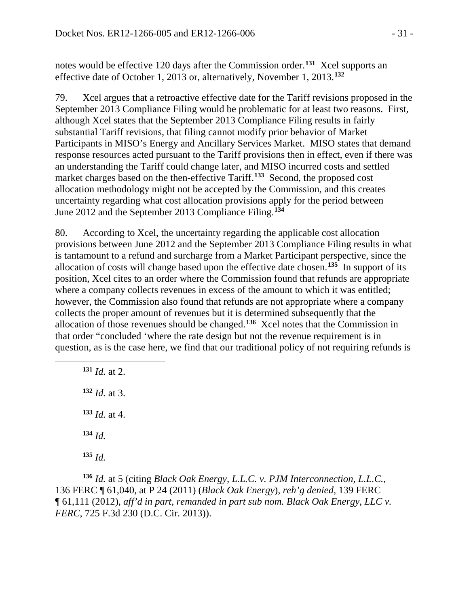notes would be effective 120 days after the Commission order.**[131](#page-30-0)** Xcel supports an effective date of October 1, 2013 or, alternatively, November 1, 2013.**[132](#page-30-1)**

79. Xcel argues that a retroactive effective date for the Tariff revisions proposed in the September 2013 Compliance Filing would be problematic for at least two reasons. First, although Xcel states that the September 2013 Compliance Filing results in fairly substantial Tariff revisions, that filing cannot modify prior behavior of Market Participants in MISO's Energy and Ancillary Services Market. MISO states that demand response resources acted pursuant to the Tariff provisions then in effect, even if there was an understanding the Tariff could change later, and MISO incurred costs and settled market charges based on the then-effective Tariff. **[133](#page-30-2)** Second, the proposed cost allocation methodology might not be accepted by the Commission, and this creates uncertainty regarding what cost allocation provisions apply for the period between June 2012 and the September 2013 Compliance Filing.**[134](#page-30-3)**

80. According to Xcel, the uncertainty regarding the applicable cost allocation provisions between June 2012 and the September 2013 Compliance Filing results in what is tantamount to a refund and surcharge from a Market Participant perspective, since the allocation of costs will change based upon the effective date chosen. **[135](#page-30-4)** In support of its position, Xcel cites to an order where the Commission found that refunds are appropriate where a company collects revenues in excess of the amount to which it was entitled; however, the Commission also found that refunds are not appropriate where a company collects the proper amount of revenues but it is determined subsequently that the allocation of those revenues should be changed.**[136](#page-30-5)** Xcel notes that the Commission in that order "concluded 'where the rate design but not the revenue requirement is in question, as is the case here, we find that our traditional policy of not requiring refunds is

**<sup>131</sup>** *Id.* at 2. **<sup>132</sup>** *Id.* at 3. **<sup>133</sup>** *Id.* at 4. **<sup>134</sup>** *Id.* **<sup>135</sup>** *Id.*

<span id="page-30-2"></span><span id="page-30-1"></span><span id="page-30-0"></span> $\overline{a}$ 

<span id="page-30-5"></span><span id="page-30-4"></span><span id="page-30-3"></span>**<sup>136</sup>** *Id.* at 5 (citing *Black Oak Energy, L.L.C. v. PJM Interconnection, L.L.C.*, 136 FERC ¶ 61,040, at P 24 (2011) (*Black Oak Energy*), *reh'g denied*, 139 FERC ¶ 61,111 (2012), *aff'd in part, remanded in part sub nom. Black Oak Energy, LLC v. FERC*, 725 F.3d 230 (D.C. Cir. 2013)).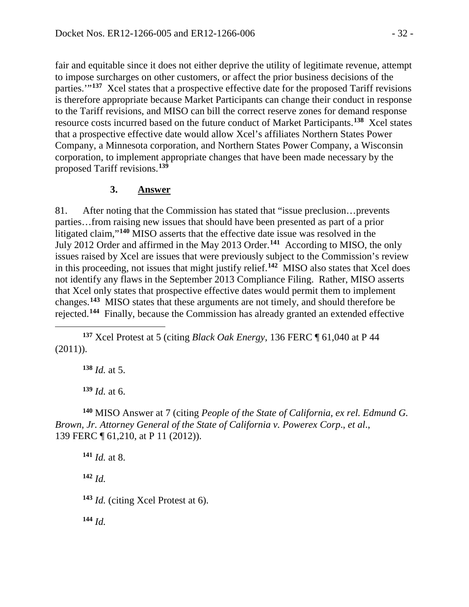fair and equitable since it does not either deprive the utility of legitimate revenue, attempt to impose surcharges on other customers, or affect the prior business decisions of the parties.'"**[137](#page-31-0)** Xcel states that a prospective effective date for the proposed Tariff revisions is therefore appropriate because Market Participants can change their conduct in response to the Tariff revisions, and MISO can bill the correct reserve zones for demand response resource costs incurred based on the future conduct of Market Participants.**[138](#page-31-1)** Xcel states that a prospective effective date would allow Xcel's affiliates Northern States Power Company, a Minnesota corporation, and Northern States Power Company, a Wisconsin corporation, to implement appropriate changes that have been made necessary by the proposed Tariff revisions.**[139](#page-31-2)**

#### **3. Answer**

81. After noting that the Commission has stated that "issue preclusion…prevents parties…from raising new issues that should have been presented as part of a prior litigated claim,"**[140](#page-31-3)** MISO asserts that the effective date issue was resolved in the July 2012 Order and affirmed in the May 2013 Order.**[141](#page-31-4)** According to MISO, the only issues raised by Xcel are issues that were previously subject to the Commission's review in this proceeding, not issues that might justify relief.**[142](#page-31-5)** MISO also states that Xcel does not identify any flaws in the September 2013 Compliance Filing. Rather, MISO asserts that Xcel only states that prospective effective dates would permit them to implement changes.**[143](#page-31-6)** MISO states that these arguments are not timely, and should therefore be rejected.**[144](#page-31-7)** Finally, because the Commission has already granted an extended effective

<span id="page-31-1"></span><span id="page-31-0"></span>**<sup>137</sup>** Xcel Protest at 5 (citing *Black Oak Energy*, 136 FERC ¶ 61,040 at P 44 (2011)).

**<sup>138</sup>** *Id.* at 5.

 $\overline{a}$ 

**<sup>139</sup>** *Id.* at 6.

<span id="page-31-4"></span><span id="page-31-3"></span><span id="page-31-2"></span>**<sup>140</sup>** MISO Answer at 7 (citing *People of the State of California, ex rel. Edmund G. Brown, Jr. Attorney General of the State of California v. Powerex Corp*., *et al*., 139 FERC ¶ 61,210, at P 11 (2012)).

**<sup>141</sup>** *Id.* at 8.

<span id="page-31-5"></span>**<sup>142</sup>** *Id.*

<span id="page-31-6"></span>**<sup>143</sup>** *Id.* (citing Xcel Protest at 6).

<span id="page-31-7"></span>**<sup>144</sup>** *Id.*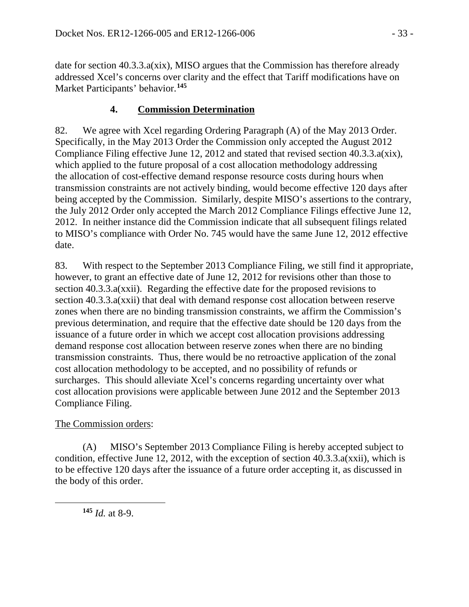date for section 40.3.3.a(xix), MISO argues that the Commission has therefore already addressed Xcel's concerns over clarity and the effect that Tariff modifications have on Market Participants' behavior.**[145](#page-32-0)**

## **4. Commission Determination**

82. We agree with Xcel regarding Ordering Paragraph (A) of the May 2013 Order. Specifically, in the May 2013 Order the Commission only accepted the August 2012 Compliance Filing effective June 12, 2012 and stated that revised section 40.3.3.a(xix), which applied to the future proposal of a cost allocation methodology addressing the allocation of cost-effective demand response resource costs during hours when transmission constraints are not actively binding, would become effective 120 days after being accepted by the Commission. Similarly, despite MISO's assertions to the contrary, the July 2012 Order only accepted the March 2012 Compliance Filings effective June 12, 2012. In neither instance did the Commission indicate that all subsequent filings related to MISO's compliance with Order No. 745 would have the same June 12, 2012 effective date.

83. With respect to the September 2013 Compliance Filing, we still find it appropriate, however, to grant an effective date of June 12, 2012 for revisions other than those to section 40.3.3.a(xxii). Regarding the effective date for the proposed revisions to section 40.3.3.a(xxii) that deal with demand response cost allocation between reserve zones when there are no binding transmission constraints, we affirm the Commission's previous determination, and require that the effective date should be 120 days from the issuance of a future order in which we accept cost allocation provisions addressing demand response cost allocation between reserve zones when there are no binding transmission constraints. Thus, there would be no retroactive application of the zonal cost allocation methodology to be accepted, and no possibility of refunds or surcharges. This should alleviate Xcel's concerns regarding uncertainty over what cost allocation provisions were applicable between June 2012 and the September 2013 Compliance Filing.

## The Commission orders:

(A) MISO's September 2013 Compliance Filing is hereby accepted subject to condition, effective June 12, 2012, with the exception of section 40.3.3.a(xxii), which is to be effective 120 days after the issuance of a future order accepting it, as discussed in the body of this order.

<span id="page-32-0"></span>**<sup>145</sup>** *Id.* at 8-9.